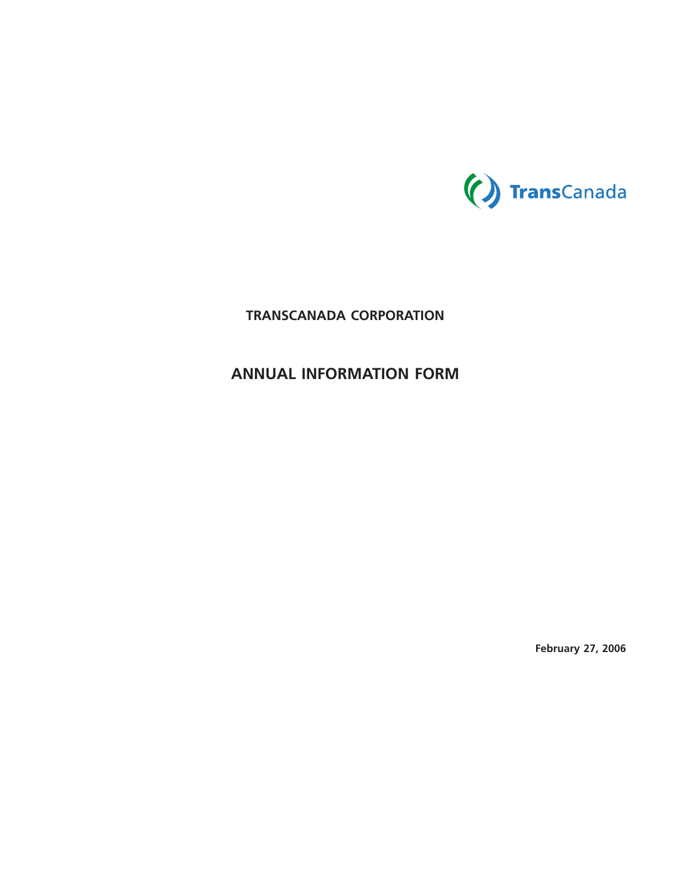

# **TRANSCANADA CORPORATION**

# **ANNUAL INFORMATION FORM**

**February 27, 2006**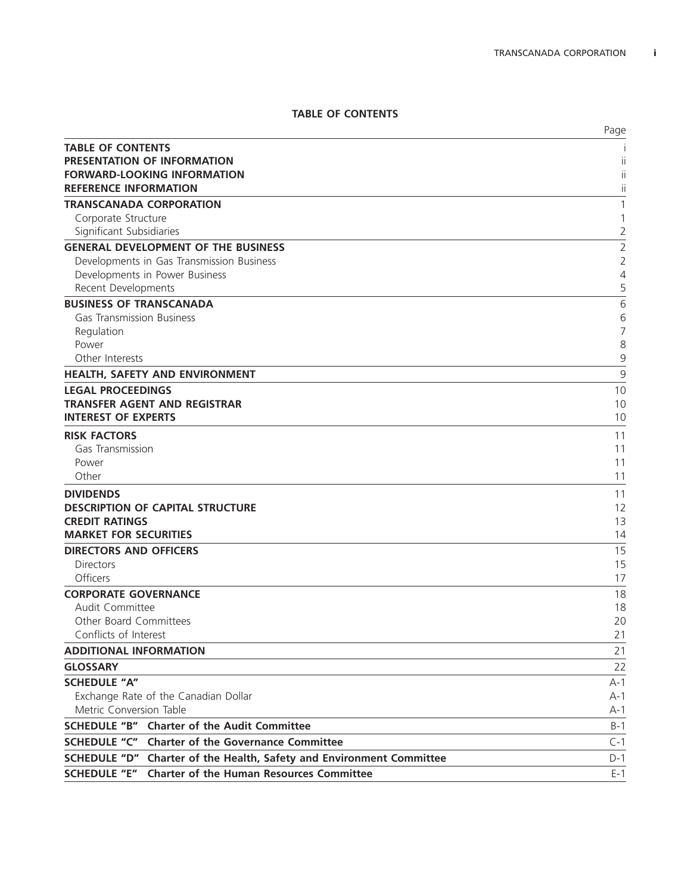# **TABLE OF CONTENTS**

|                                                                                | Page           |
|--------------------------------------------------------------------------------|----------------|
| <b>TABLE OF CONTENTS</b>                                                       |                |
| PRESENTATION OF INFORMATION                                                    |                |
| <b>FORWARD-LOOKING INFORMATION</b>                                             | $\mathbf{I}$   |
| <b>REFERENCE INFORMATION</b>                                                   | $\mathbf{I}$   |
| <b>TRANSCANADA CORPORATION</b>                                                 | 1              |
| Corporate Structure                                                            | 1              |
| Significant Subsidiaries                                                       | 2              |
| <b>GENERAL DEVELOPMENT OF THE BUSINESS</b>                                     | $\overline{2}$ |
| Developments in Gas Transmission Business                                      | $\overline{2}$ |
| Developments in Power Business                                                 | 4              |
| Recent Developments                                                            | 5              |
| <b>BUSINESS OF TRANSCANADA</b>                                                 | 6              |
| <b>Gas Transmission Business</b>                                               | 6              |
| Regulation                                                                     | 7              |
| Power                                                                          | 8              |
| Other Interests                                                                | 9              |
| <b>HEALTH, SAFETY AND ENVIRONMENT</b>                                          | 9              |
| <b>LEGAL PROCEEDINGS</b>                                                       | 10             |
| <b>TRANSFER AGENT AND REGISTRAR</b>                                            | 10             |
| <b>INTEREST OF EXPERTS</b>                                                     | 10             |
| <b>RISK FACTORS</b>                                                            | 11             |
| Gas Transmission                                                               | 11             |
| Power                                                                          | 11             |
| Other                                                                          | 11             |
| <b>DIVIDENDS</b>                                                               | 11             |
| <b>DESCRIPTION OF CAPITAL STRUCTURE</b>                                        | 12             |
| <b>CREDIT RATINGS</b>                                                          | 13             |
| <b>MARKET FOR SECURITIES</b>                                                   | 14             |
| <b>DIRECTORS AND OFFICERS</b>                                                  | 15             |
| <b>Directors</b>                                                               | 15             |
| Officers                                                                       | 17             |
| <b>CORPORATE GOVERNANCE</b>                                                    | 18             |
| Audit Committee                                                                | 18             |
| Other Board Committees                                                         | 20             |
| Conflicts of Interest                                                          | 21             |
| <b>ADDITIONAL INFORMATION</b>                                                  | 21             |
| <b>GLOSSARY</b>                                                                | 22             |
| <b>SCHEDULE "A"</b>                                                            | $A-1$          |
| Exchange Rate of the Canadian Dollar                                           | $A-1$          |
| Metric Conversion Table                                                        | $A-1$          |
| <b>SCHEDULE "B"</b> Charter of the Audit Committee                             | $B-1$          |
| SCHEDULE "C" Charter of the Governance Committee                               | $C-1$          |
| <b>SCHEDULE "D"</b><br>Charter of the Health, Safety and Environment Committee | $D-1$          |
| <b>Charter of the Human Resources Committee</b><br><b>SCHEDULE "E"</b>         | $E-1$          |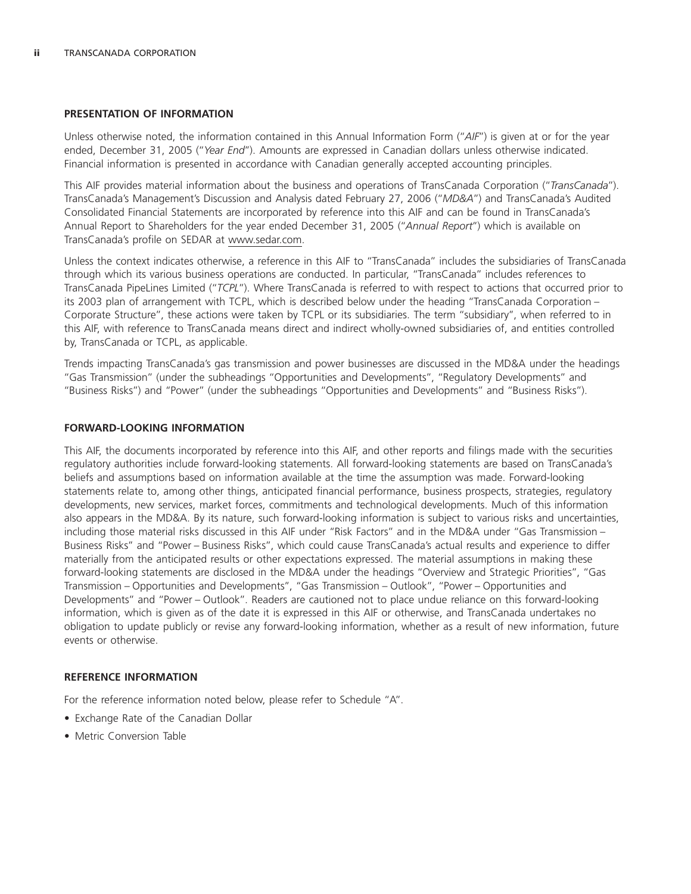#### **PRESENTATION OF INFORMATION**

Unless otherwise noted, the information contained in this Annual Information Form (''*AIF*'') is given at or for the year ended, December 31, 2005 (''*Year End*''). Amounts are expressed in Canadian dollars unless otherwise indicated. Financial information is presented in accordance with Canadian generally accepted accounting principles.

This AIF provides material information about the business and operations of TransCanada Corporation (''*TransCanada*''). TransCanada's Management's Discussion and Analysis dated February 27, 2006 (''*MD&A*'') and TransCanada's Audited Consolidated Financial Statements are incorporated by reference into this AIF and can be found in TransCanada's Annual Report to Shareholders for the year ended December 31, 2005 (''*Annual Report*'') which is available on TransCanada's profile on SEDAR at www.sedar.com.

Unless the context indicates otherwise, a reference in this AIF to ''TransCanada'' includes the subsidiaries of TransCanada through which its various business operations are conducted. In particular, "TransCanada" includes references to TransCanada PipeLines Limited (''*TCPL*''). Where TransCanada is referred to with respect to actions that occurred prior to its 2003 plan of arrangement with TCPL, which is described below under the heading ''TransCanada Corporation – Corporate Structure'', these actions were taken by TCPL or its subsidiaries. The term ''subsidiary'', when referred to in this AIF, with reference to TransCanada means direct and indirect wholly-owned subsidiaries of, and entities controlled by, TransCanada or TCPL, as applicable.

Trends impacting TransCanada's gas transmission and power businesses are discussed in the MD&A under the headings ''Gas Transmission'' (under the subheadings ''Opportunities and Developments'', ''Regulatory Developments'' and ''Business Risks'') and ''Power'' (under the subheadings ''Opportunities and Developments'' and ''Business Risks'').

#### **FORWARD-LOOKING INFORMATION**

This AIF, the documents incorporated by reference into this AIF, and other reports and filings made with the securities regulatory authorities include forward-looking statements. All forward-looking statements are based on TransCanada's beliefs and assumptions based on information available at the time the assumption was made. Forward-looking statements relate to, among other things, anticipated financial performance, business prospects, strategies, regulatory developments, new services, market forces, commitments and technological developments. Much of this information also appears in the MD&A. By its nature, such forward-looking information is subject to various risks and uncertainties, including those material risks discussed in this AIF under ''Risk Factors'' and in the MD&A under ''Gas Transmission – Business Risks'' and ''Power – Business Risks'', which could cause TransCanada's actual results and experience to differ materially from the anticipated results or other expectations expressed. The material assumptions in making these forward-looking statements are disclosed in the MD&A under the headings ''Overview and Strategic Priorities'', ''Gas Transmission – Opportunities and Developments'', ''Gas Transmission – Outlook'', ''Power – Opportunities and Developments'' and ''Power – Outlook''. Readers are cautioned not to place undue reliance on this forward-looking information, which is given as of the date it is expressed in this AIF or otherwise, and TransCanada undertakes no obligation to update publicly or revise any forward-looking information, whether as a result of new information, future events or otherwise.

#### **REFERENCE INFORMATION**

For the reference information noted below, please refer to Schedule ''A''.

- Exchange Rate of the Canadian Dollar
- Metric Conversion Table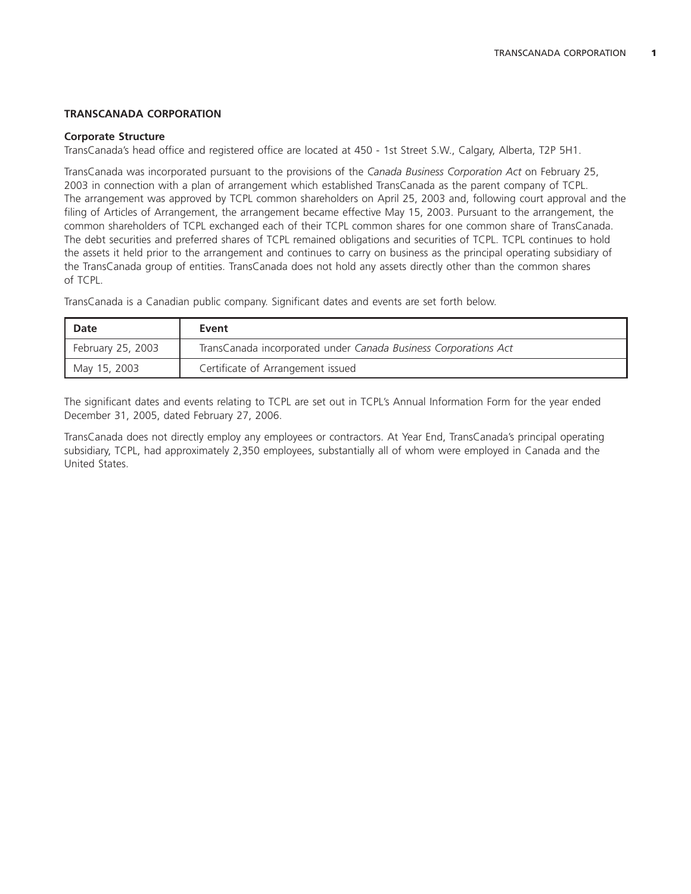# **TRANSCANADA CORPORATION**

### **Corporate Structure**

TransCanada's head office and registered office are located at 450 - 1st Street S.W., Calgary, Alberta, T2P 5H1.

TransCanada was incorporated pursuant to the provisions of the *Canada Business Corporation Act* on February 25, 2003 in connection with a plan of arrangement which established TransCanada as the parent company of TCPL. The arrangement was approved by TCPL common shareholders on April 25, 2003 and, following court approval and the filing of Articles of Arrangement, the arrangement became effective May 15, 2003. Pursuant to the arrangement, the common shareholders of TCPL exchanged each of their TCPL common shares for one common share of TransCanada. The debt securities and preferred shares of TCPL remained obligations and securities of TCPL. TCPL continues to hold the assets it held prior to the arrangement and continues to carry on business as the principal operating subsidiary of the TransCanada group of entities. TransCanada does not hold any assets directly other than the common shares of TCPL.

TransCanada is a Canadian public company. Significant dates and events are set forth below.

| Date              | Event                                                           |
|-------------------|-----------------------------------------------------------------|
| February 25, 2003 | TransCanada incorporated under Canada Business Corporations Act |
| May 15, 2003      | Certificate of Arrangement issued                               |

The significant dates and events relating to TCPL are set out in TCPL's Annual Information Form for the year ended December 31, 2005, dated February 27, 2006.

TransCanada does not directly employ any employees or contractors. At Year End, TransCanada's principal operating subsidiary, TCPL, had approximately 2,350 employees, substantially all of whom were employed in Canada and the United States.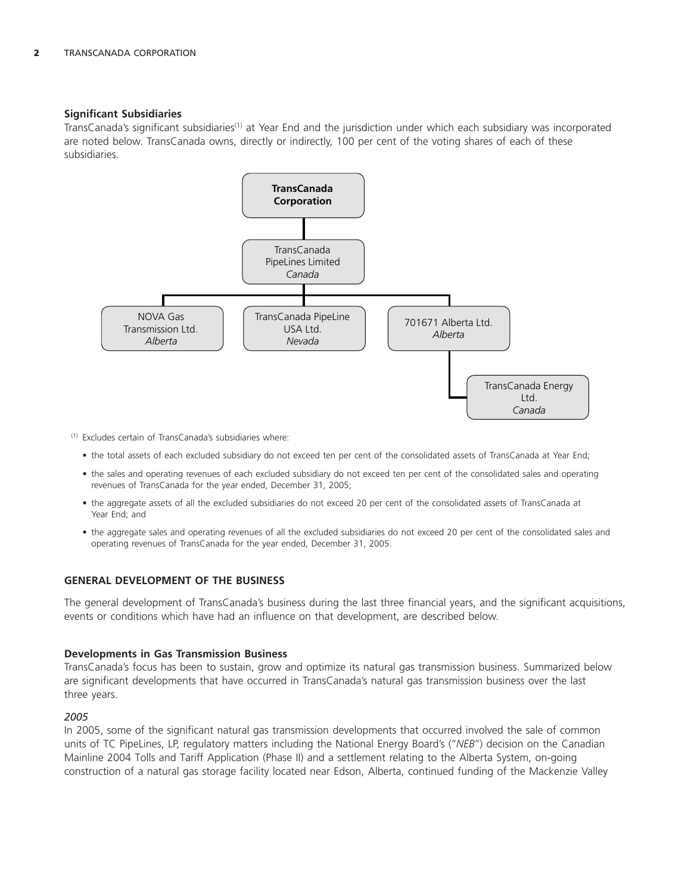# **Significant Subsidiaries**

TransCanada's significant subsidiaries<sup>(1)</sup> at Year End and the jurisdiction under which each subsidiary was incorporated are noted below. TransCanada owns, directly or indirectly, 100 per cent of the voting shares of each of these subsidiaries.



(1) Excludes certain of TransCanada's subsidiaries where:

- the total assets of each excluded subsidiary do not exceed ten per cent of the consolidated assets of TransCanada at Year End;
- the sales and operating revenues of each excluded subsidiary do not exceed ten per cent of the consolidated sales and operating revenues of TransCanada for the year ended, December 31, 2005;
- the aggregate assets of all the excluded subsidiaries do not exceed 20 per cent of the consolidated assets of TransCanada at Year End; and
- the aggregate sales and operating revenues of all the excluded subsidiaries do not exceed 20 per cent of the consolidated sales and operating revenues of TransCanada for the year ended, December 31, 2005.

#### **GENERAL DEVELOPMENT OF THE BUSINESS**

The general development of TransCanada's business during the last three financial years, and the significant acquisitions, events or conditions which have had an influence on that development, are described below.

#### **Developments in Gas Transmission Business**

TransCanada's focus has been to sustain, grow and optimize its natural gas transmission business. Summarized below are significant developments that have occurred in TransCanada's natural gas transmission business over the last three years.

#### *2005*

In 2005, some of the significant natural gas transmission developments that occurred involved the sale of common units of TC PipeLines, LP, regulatory matters including the National Energy Board's (''*NEB*'') decision on the Canadian Mainline 2004 Tolls and Tariff Application (Phase II) and a settlement relating to the Alberta System, on-going construction of a natural gas storage facility located near Edson, Alberta, continued funding of the Mackenzie Valley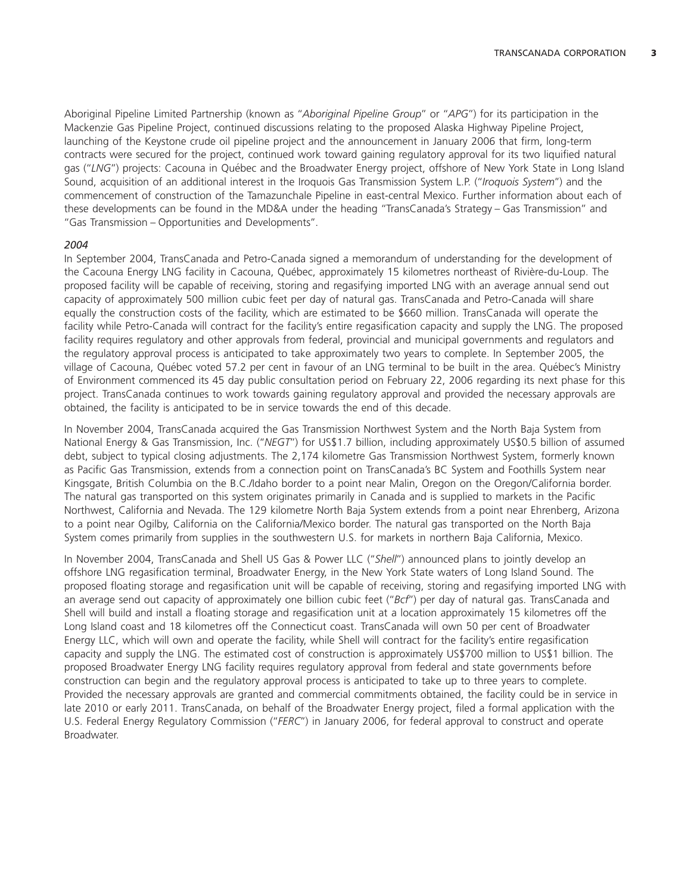Aboriginal Pipeline Limited Partnership (known as ''*Aboriginal Pipeline Group*'' or ''*APG*'') for its participation in the Mackenzie Gas Pipeline Project, continued discussions relating to the proposed Alaska Highway Pipeline Project, launching of the Keystone crude oil pipeline project and the announcement in January 2006 that firm, long-term contracts were secured for the project, continued work toward gaining regulatory approval for its two liquified natural gas ("LNG") projects: Cacouna in Québec and the Broadwater Energy project, offshore of New York State in Long Island Sound, acquisition of an additional interest in the Iroquois Gas Transmission System L.P. (''*Iroquois System*'') and the commencement of construction of the Tamazunchale Pipeline in east-central Mexico. Further information about each of these developments can be found in the MD&A under the heading ''TransCanada's Strategy – Gas Transmission'' and ''Gas Transmission – Opportunities and Developments''.

# *2004*

In September 2004, TransCanada and Petro-Canada signed a memorandum of understanding for the development of the Cacouna Energy LNG facility in Cacouna, Québec, approximately 15 kilometres northeast of Rivière-du-Loup. The proposed facility will be capable of receiving, storing and regasifying imported LNG with an average annual send out capacity of approximately 500 million cubic feet per day of natural gas. TransCanada and Petro-Canada will share equally the construction costs of the facility, which are estimated to be \$660 million. TransCanada will operate the facility while Petro-Canada will contract for the facility's entire regasification capacity and supply the LNG. The proposed facility requires regulatory and other approvals from federal, provincial and municipal governments and regulators and the regulatory approval process is anticipated to take approximately two years to complete. In September 2005, the village of Cacouna, Québec voted 57.2 per cent in favour of an LNG terminal to be built in the area. Québec's Ministry of Environment commenced its 45 day public consultation period on February 22, 2006 regarding its next phase for this project. TransCanada continues to work towards gaining regulatory approval and provided the necessary approvals are obtained, the facility is anticipated to be in service towards the end of this decade.

In November 2004, TransCanada acquired the Gas Transmission Northwest System and the North Baja System from National Energy & Gas Transmission, Inc. (''*NEGT*'') for US\$1.7 billion, including approximately US\$0.5 billion of assumed debt, subject to typical closing adjustments. The 2,174 kilometre Gas Transmission Northwest System, formerly known as Pacific Gas Transmission, extends from a connection point on TransCanada's BC System and Foothills System near Kingsgate, British Columbia on the B.C./Idaho border to a point near Malin, Oregon on the Oregon/California border. The natural gas transported on this system originates primarily in Canada and is supplied to markets in the Pacific Northwest, California and Nevada. The 129 kilometre North Baja System extends from a point near Ehrenberg, Arizona to a point near Ogilby, California on the California/Mexico border. The natural gas transported on the North Baja System comes primarily from supplies in the southwestern U.S. for markets in northern Baja California, Mexico.

In November 2004, TransCanada and Shell US Gas & Power LLC (''*Shell*'') announced plans to jointly develop an offshore LNG regasification terminal, Broadwater Energy, in the New York State waters of Long Island Sound. The proposed floating storage and regasification unit will be capable of receiving, storing and regasifying imported LNG with an average send out capacity of approximately one billion cubic feet (''*Bcf*'') per day of natural gas. TransCanada and Shell will build and install a floating storage and regasification unit at a location approximately 15 kilometres off the Long Island coast and 18 kilometres off the Connecticut coast. TransCanada will own 50 per cent of Broadwater Energy LLC, which will own and operate the facility, while Shell will contract for the facility's entire regasification capacity and supply the LNG. The estimated cost of construction is approximately US\$700 million to US\$1 billion. The proposed Broadwater Energy LNG facility requires regulatory approval from federal and state governments before construction can begin and the regulatory approval process is anticipated to take up to three years to complete. Provided the necessary approvals are granted and commercial commitments obtained, the facility could be in service in late 2010 or early 2011. TransCanada, on behalf of the Broadwater Energy project, filed a formal application with the U.S. Federal Energy Regulatory Commission (''*FERC*'') in January 2006, for federal approval to construct and operate Broadwater.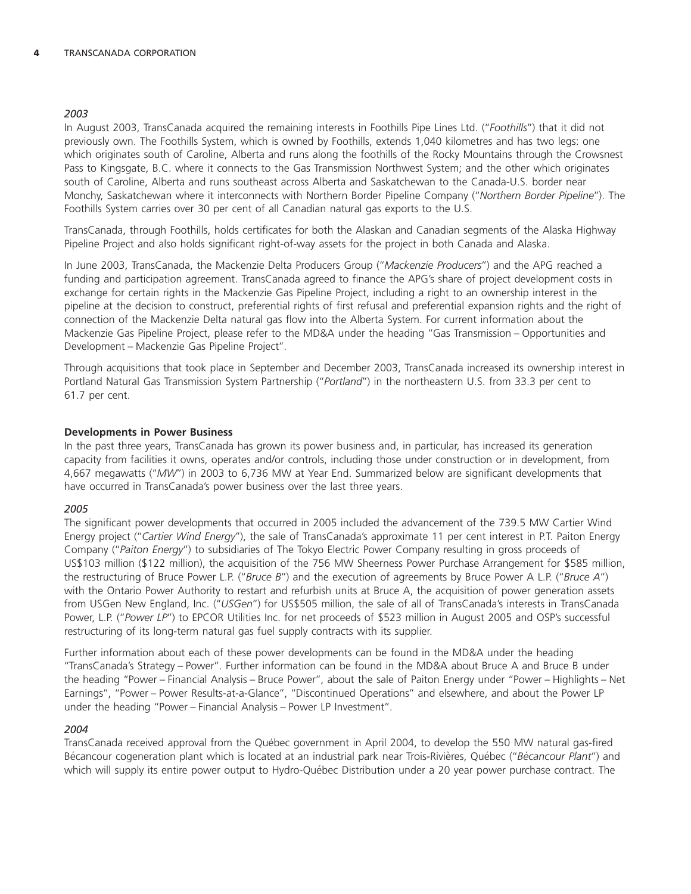# *2003*

In August 2003, TransCanada acquired the remaining interests in Foothills Pipe Lines Ltd. (''*Foothills*'') that it did not previously own. The Foothills System, which is owned by Foothills, extends 1,040 kilometres and has two legs: one which originates south of Caroline, Alberta and runs along the foothills of the Rocky Mountains through the Crowsnest Pass to Kingsgate, B.C. where it connects to the Gas Transmission Northwest System; and the other which originates south of Caroline, Alberta and runs southeast across Alberta and Saskatchewan to the Canada-U.S. border near Monchy, Saskatchewan where it interconnects with Northern Border Pipeline Company (''*Northern Border Pipeline*''). The Foothills System carries over 30 per cent of all Canadian natural gas exports to the U.S.

TransCanada, through Foothills, holds certificates for both the Alaskan and Canadian segments of the Alaska Highway Pipeline Project and also holds significant right-of-way assets for the project in both Canada and Alaska.

In June 2003, TransCanada, the Mackenzie Delta Producers Group (''*Mackenzie Producers*'') and the APG reached a funding and participation agreement. TransCanada agreed to finance the APG's share of project development costs in exchange for certain rights in the Mackenzie Gas Pipeline Project, including a right to an ownership interest in the pipeline at the decision to construct, preferential rights of first refusal and preferential expansion rights and the right of connection of the Mackenzie Delta natural gas flow into the Alberta System. For current information about the Mackenzie Gas Pipeline Project, please refer to the MD&A under the heading ''Gas Transmission – Opportunities and Development – Mackenzie Gas Pipeline Project''.

Through acquisitions that took place in September and December 2003, TransCanada increased its ownership interest in Portland Natural Gas Transmission System Partnership (''*Portland*'') in the northeastern U.S. from 33.3 per cent to 61.7 per cent.

# **Developments in Power Business**

In the past three years, TransCanada has grown its power business and, in particular, has increased its generation capacity from facilities it owns, operates and/or controls, including those under construction or in development, from 4,667 megawatts (''*MW*'') in 2003 to 6,736 MW at Year End. Summarized below are significant developments that have occurred in TransCanada's power business over the last three years.

# *2005*

The significant power developments that occurred in 2005 included the advancement of the 739.5 MW Cartier Wind Energy project (''*Cartier Wind Energy*''), the sale of TransCanada's approximate 11 per cent interest in P.T. Paiton Energy Company (''*Paiton Energy*'') to subsidiaries of The Tokyo Electric Power Company resulting in gross proceeds of US\$103 million (\$122 million), the acquisition of the 756 MW Sheerness Power Purchase Arrangement for \$585 million, the restructuring of Bruce Power L.P. (''*Bruce B*'') and the execution of agreements by Bruce Power A L.P. (''*Bruce A*'') with the Ontario Power Authority to restart and refurbish units at Bruce A, the acquisition of power generation assets from USGen New England, Inc. (''*USGen*'') for US\$505 million, the sale of all of TransCanada's interests in TransCanada Power, L.P. (''*Power LP*'') to EPCOR Utilities Inc. for net proceeds of \$523 million in August 2005 and OSP's successful restructuring of its long-term natural gas fuel supply contracts with its supplier.

Further information about each of these power developments can be found in the MD&A under the heading ''TransCanada's Strategy – Power''. Further information can be found in the MD&A about Bruce A and Bruce B under the heading ''Power – Financial Analysis – Bruce Power'', about the sale of Paiton Energy under ''Power – Highlights – Net Earnings'', ''Power – Power Results-at-a-Glance'', ''Discontinued Operations'' and elsewhere, and about the Power LP under the heading ''Power – Financial Analysis – Power LP Investment''.

# *2004*

TransCanada received approval from the Québec government in April 2004, to develop the 550 MW natural gas-fired Bécancour cogeneration plant which is located at an industrial park near Trois-Rivières, Québec ("Bécancour Plant") and which will supply its entire power output to Hydro-Québec Distribution under a 20 year power purchase contract. The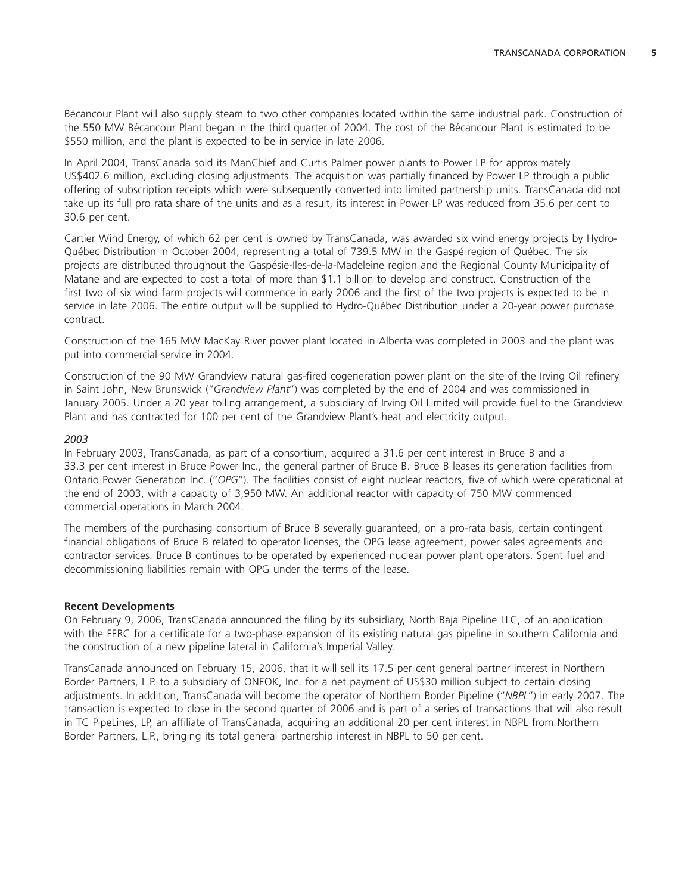Bécancour Plant will also supply steam to two other companies located within the same industrial park. Construction of the 550 MW Bécancour Plant began in the third quarter of 2004. The cost of the Bécancour Plant is estimated to be \$550 million, and the plant is expected to be in service in late 2006.

In April 2004, TransCanada sold its ManChief and Curtis Palmer power plants to Power LP for approximately US\$402.6 million, excluding closing adjustments. The acquisition was partially financed by Power LP through a public offering of subscription receipts which were subsequently converted into limited partnership units. TransCanada did not take up its full pro rata share of the units and as a result, its interest in Power LP was reduced from 35.6 per cent to 30.6 per cent.

Cartier Wind Energy, of which 62 per cent is owned by TransCanada, was awarded six wind energy projects by Hydro-Québec Distribution in October 2004, representing a total of 739.5 MW in the Gaspé region of Québec. The six projects are distributed throughout the Gaspésie-Iles-de-la-Madeleine region and the Regional County Municipality of Matane and are expected to cost a total of more than \$1.1 billion to develop and construct. Construction of the first two of six wind farm projects will commence in early 2006 and the first of the two projects is expected to be in service in late 2006. The entire output will be supplied to Hydro-Québec Distribution under a 20-year power purchase contract.

Construction of the 165 MW MacKay River power plant located in Alberta was completed in 2003 and the plant was put into commercial service in 2004.

Construction of the 90 MW Grandview natural gas-fired cogeneration power plant on the site of the Irving Oil refinery in Saint John, New Brunswick (''*Grandview Plant*'') was completed by the end of 2004 and was commissioned in January 2005. Under a 20 year tolling arrangement, a subsidiary of Irving Oil Limited will provide fuel to the Grandview Plant and has contracted for 100 per cent of the Grandview Plant's heat and electricity output.

# *2003*

In February 2003, TransCanada, as part of a consortium, acquired a 31.6 per cent interest in Bruce B and a 33.3 per cent interest in Bruce Power Inc., the general partner of Bruce B. Bruce B leases its generation facilities from Ontario Power Generation Inc. (''*OPG*''). The facilities consist of eight nuclear reactors, five of which were operational at the end of 2003, with a capacity of 3,950 MW. An additional reactor with capacity of 750 MW commenced commercial operations in March 2004.

The members of the purchasing consortium of Bruce B severally guaranteed, on a pro-rata basis, certain contingent financial obligations of Bruce B related to operator licenses, the OPG lease agreement, power sales agreements and contractor services. Bruce B continues to be operated by experienced nuclear power plant operators. Spent fuel and decommissioning liabilities remain with OPG under the terms of the lease.

# **Recent Developments**

On February 9, 2006, TransCanada announced the filing by its subsidiary, North Baja Pipeline LLC, of an application with the FERC for a certificate for a two-phase expansion of its existing natural gas pipeline in southern California and the construction of a new pipeline lateral in California's Imperial Valley.

TransCanada announced on February 15, 2006, that it will sell its 17.5 per cent general partner interest in Northern Border Partners, L.P. to a subsidiary of ONEOK, Inc. for a net payment of US\$30 million subject to certain closing adjustments. In addition, TransCanada will become the operator of Northern Border Pipeline (''*NBPL*'') in early 2007. The transaction is expected to close in the second quarter of 2006 and is part of a series of transactions that will also result in TC PipeLines, LP, an affiliate of TransCanada, acquiring an additional 20 per cent interest in NBPL from Northern Border Partners, L.P., bringing its total general partnership interest in NBPL to 50 per cent.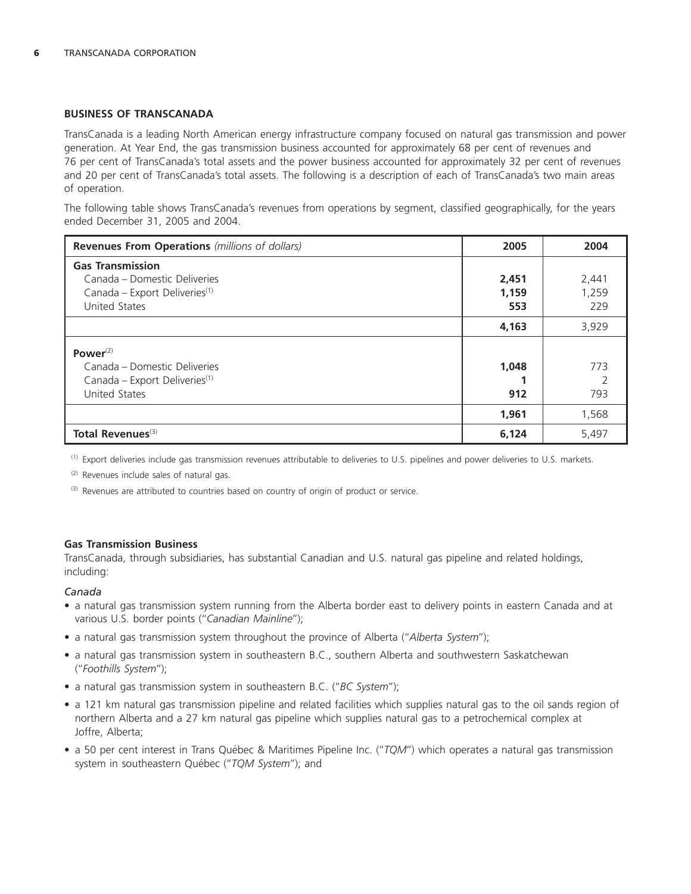# **BUSINESS OF TRANSCANADA**

TransCanada is a leading North American energy infrastructure company focused on natural gas transmission and power generation. At Year End, the gas transmission business accounted for approximately 68 per cent of revenues and 76 per cent of TransCanada's total assets and the power business accounted for approximately 32 per cent of revenues and 20 per cent of TransCanada's total assets. The following is a description of each of TransCanada's two main areas of operation.

The following table shows TransCanada's revenues from operations by segment, classified geographically, for the years ended December 31, 2005 and 2004.

| <b>Revenues From Operations</b> (millions of dollars) | 2005  | 2004  |
|-------------------------------------------------------|-------|-------|
| <b>Gas Transmission</b>                               |       |       |
| Canada – Domestic Deliveries                          | 2,451 | 2,441 |
| Canada - Export Deliveries <sup>(1)</sup>             | 1,159 | 1,259 |
| <b>United States</b>                                  | 553   | 229   |
|                                                       | 4,163 | 3,929 |
| Power $(2)$                                           |       |       |
| Canada - Domestic Deliveries                          | 1,048 | 773   |
| Canada - Export Deliveries <sup>(1)</sup>             |       |       |
| <b>United States</b>                                  | 912   | 793   |
|                                                       | 1,961 | 1,568 |
| Total Revenues <sup>(3)</sup>                         | 6,124 | 5,497 |

(1) Export deliveries include gas transmission revenues attributable to deliveries to U.S. pipelines and power deliveries to U.S. markets.

(2) Revenues include sales of natural gas.

(3) Revenues are attributed to countries based on country of origin of product or service.

#### **Gas Transmission Business**

TransCanada, through subsidiaries, has substantial Canadian and U.S. natural gas pipeline and related holdings, including:

# *Canada*

- a natural gas transmission system running from the Alberta border east to delivery points in eastern Canada and at various U.S. border points (''*Canadian Mainline*'');
- a natural gas transmission system throughout the province of Alberta (''*Alberta System*'');
- a natural gas transmission system in southeastern B.C., southern Alberta and southwestern Saskatchewan (''*Foothills System*'');
- a natural gas transmission system in southeastern B.C. (''*BC System*'');
- a 121 km natural gas transmission pipeline and related facilities which supplies natural gas to the oil sands region of northern Alberta and a 27 km natural gas pipeline which supplies natural gas to a petrochemical complex at Joffre, Alberta;
- a 50 per cent interest in Trans Québec & Maritimes Pipeline Inc. ("TQM") which operates a natural gas transmission system in southeastern Québec ("TQM System"); and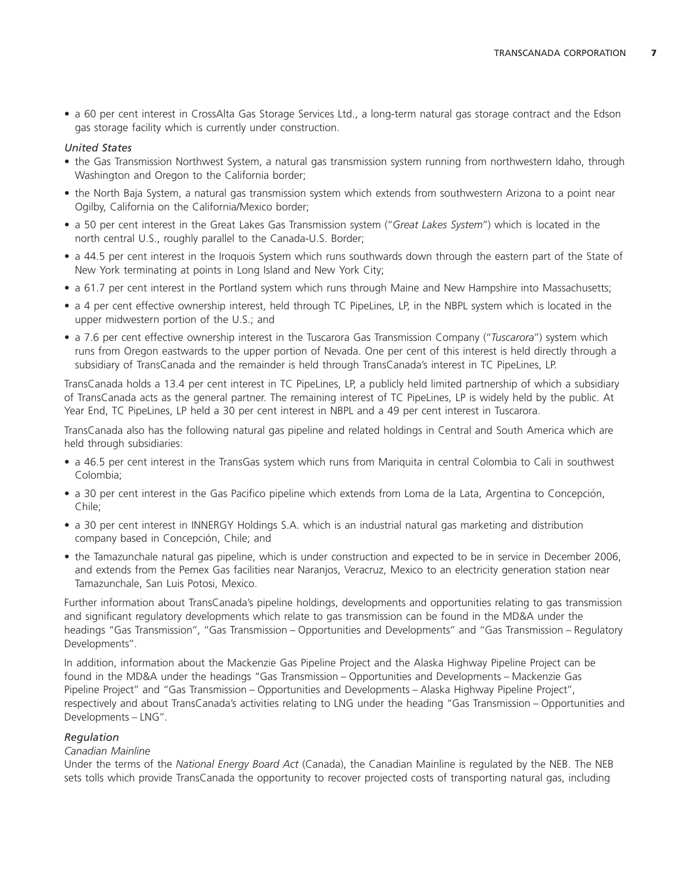• a 60 per cent interest in CrossAlta Gas Storage Services Ltd., a long-term natural gas storage contract and the Edson gas storage facility which is currently under construction.

# *United States*

- the Gas Transmission Northwest System, a natural gas transmission system running from northwestern Idaho, through Washington and Oregon to the California border;
- the North Baja System, a natural gas transmission system which extends from southwestern Arizona to a point near Ogilby, California on the California/Mexico border;
- a 50 per cent interest in the Great Lakes Gas Transmission system (''*Great Lakes System*'') which is located in the north central U.S., roughly parallel to the Canada-U.S. Border;
- a 44.5 per cent interest in the Iroquois System which runs southwards down through the eastern part of the State of New York terminating at points in Long Island and New York City;
- a 61.7 per cent interest in the Portland system which runs through Maine and New Hampshire into Massachusetts;
- a 4 per cent effective ownership interest, held through TC PipeLines, LP, in the NBPL system which is located in the upper midwestern portion of the U.S.; and
- a 7.6 per cent effective ownership interest in the Tuscarora Gas Transmission Company (''*Tuscarora*'') system which runs from Oregon eastwards to the upper portion of Nevada. One per cent of this interest is held directly through a subsidiary of TransCanada and the remainder is held through TransCanada's interest in TC PipeLines, LP.

TransCanada holds a 13.4 per cent interest in TC PipeLines, LP, a publicly held limited partnership of which a subsidiary of TransCanada acts as the general partner. The remaining interest of TC PipeLines, LP is widely held by the public. At Year End, TC PipeLines, LP held a 30 per cent interest in NBPL and a 49 per cent interest in Tuscarora.

TransCanada also has the following natural gas pipeline and related holdings in Central and South America which are held through subsidiaries:

- a 46.5 per cent interest in the TransGas system which runs from Mariquita in central Colombia to Cali in southwest Colombia;
- a 30 per cent interest in the Gas Pacifico pipeline which extends from Loma de la Lata, Argentina to Concepcion, ´ Chile;
- a 30 per cent interest in INNERGY Holdings S.A. which is an industrial natural gas marketing and distribution company based in Concepción, Chile; and
- the Tamazunchale natural gas pipeline, which is under construction and expected to be in service in December 2006, and extends from the Pemex Gas facilities near Naranjos, Veracruz, Mexico to an electricity generation station near Tamazunchale, San Luis Potosi, Mexico.

Further information about TransCanada's pipeline holdings, developments and opportunities relating to gas transmission and significant regulatory developments which relate to gas transmission can be found in the MD&A under the headings ''Gas Transmission'', ''Gas Transmission – Opportunities and Developments'' and ''Gas Transmission – Regulatory Developments''.

In addition, information about the Mackenzie Gas Pipeline Project and the Alaska Highway Pipeline Project can be found in the MD&A under the headings ''Gas Transmission – Opportunities and Developments – Mackenzie Gas Pipeline Project'' and ''Gas Transmission – Opportunities and Developments – Alaska Highway Pipeline Project'', respectively and about TransCanada's activities relating to LNG under the heading ''Gas Transmission – Opportunities and Developments – LNG''.

# *Regulation*

#### *Canadian Mainline*

Under the terms of the *National Energy Board Act* (Canada), the Canadian Mainline is regulated by the NEB. The NEB sets tolls which provide TransCanada the opportunity to recover projected costs of transporting natural gas, including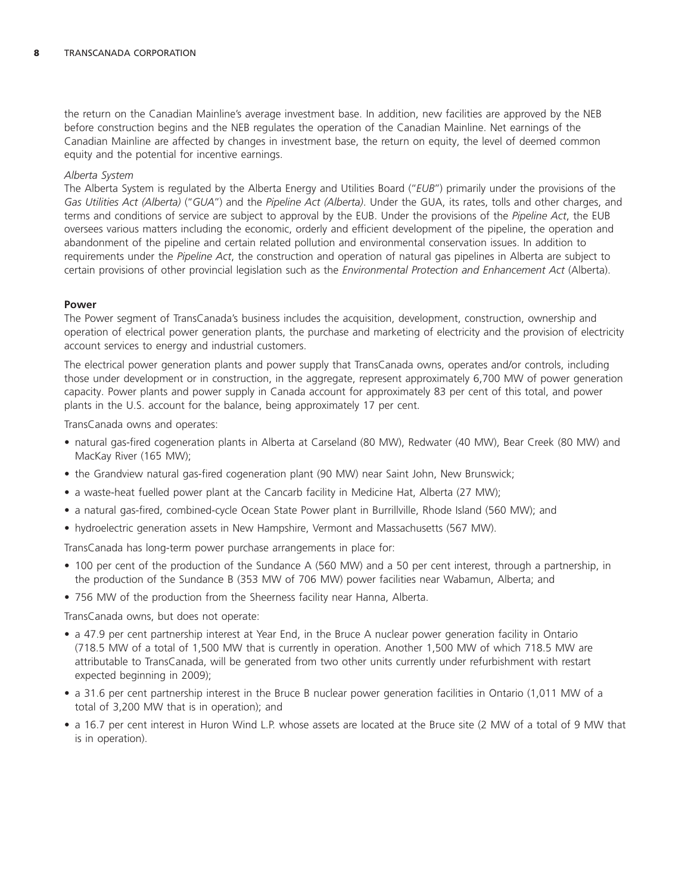the return on the Canadian Mainline's average investment base. In addition, new facilities are approved by the NEB before construction begins and the NEB regulates the operation of the Canadian Mainline. Net earnings of the Canadian Mainline are affected by changes in investment base, the return on equity, the level of deemed common equity and the potential for incentive earnings.

### *Alberta System*

The Alberta System is regulated by the Alberta Energy and Utilities Board (''*EUB*'') primarily under the provisions of the *Gas Utilities Act (Alberta)* (''*GUA*'') and the *Pipeline Act (Alberta)*. Under the GUA, its rates, tolls and other charges, and terms and conditions of service are subject to approval by the EUB. Under the provisions of the *Pipeline Act*, the EUB oversees various matters including the economic, orderly and efficient development of the pipeline, the operation and abandonment of the pipeline and certain related pollution and environmental conservation issues. In addition to requirements under the *Pipeline Act*, the construction and operation of natural gas pipelines in Alberta are subject to certain provisions of other provincial legislation such as the *Environmental Protection and Enhancement Act* (Alberta).

#### **Power**

The Power segment of TransCanada's business includes the acquisition, development, construction, ownership and operation of electrical power generation plants, the purchase and marketing of electricity and the provision of electricity account services to energy and industrial customers.

The electrical power generation plants and power supply that TransCanada owns, operates and/or controls, including those under development or in construction, in the aggregate, represent approximately 6,700 MW of power generation capacity. Power plants and power supply in Canada account for approximately 83 per cent of this total, and power plants in the U.S. account for the balance, being approximately 17 per cent.

TransCanada owns and operates:

- natural gas-fired cogeneration plants in Alberta at Carseland (80 MW), Redwater (40 MW), Bear Creek (80 MW) and MacKay River (165 MW);
- the Grandview natural gas-fired cogeneration plant (90 MW) near Saint John, New Brunswick;
- a waste-heat fuelled power plant at the Cancarb facility in Medicine Hat, Alberta (27 MW);
- a natural gas-fired, combined-cycle Ocean State Power plant in Burrillville, Rhode Island (560 MW); and
- hydroelectric generation assets in New Hampshire, Vermont and Massachusetts (567 MW).

TransCanada has long-term power purchase arrangements in place for:

- 100 per cent of the production of the Sundance A (560 MW) and a 50 per cent interest, through a partnership, in the production of the Sundance B (353 MW of 706 MW) power facilities near Wabamun, Alberta; and
- 756 MW of the production from the Sheerness facility near Hanna, Alberta.

TransCanada owns, but does not operate:

- a 47.9 per cent partnership interest at Year End, in the Bruce A nuclear power generation facility in Ontario (718.5 MW of a total of 1,500 MW that is currently in operation. Another 1,500 MW of which 718.5 MW are attributable to TransCanada, will be generated from two other units currently under refurbishment with restart expected beginning in 2009);
- a 31.6 per cent partnership interest in the Bruce B nuclear power generation facilities in Ontario (1,011 MW of a total of 3,200 MW that is in operation); and
- a 16.7 per cent interest in Huron Wind L.P. whose assets are located at the Bruce site (2 MW of a total of 9 MW that is in operation).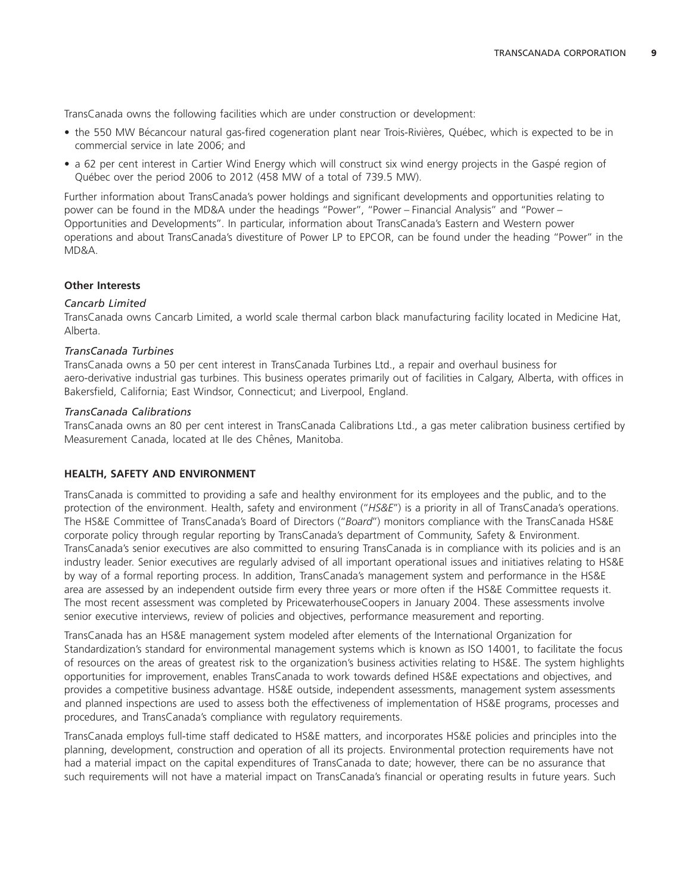TransCanada owns the following facilities which are under construction or development:

- the 550 MW Bécancour natural gas-fired cogeneration plant near Trois-Rivières, Québec, which is expected to be in commercial service in late 2006; and
- a 62 per cent interest in Cartier Wind Energy which will construct six wind energy projects in the Gaspé region of Québec over the period 2006 to 2012 (458 MW of a total of 739.5 MW).

Further information about TransCanada's power holdings and significant developments and opportunities relating to power can be found in the MD&A under the headings "Power", "Power - Financial Analysis" and "Power -Opportunities and Developments''. In particular, information about TransCanada's Eastern and Western power operations and about TransCanada's divestiture of Power LP to EPCOR, can be found under the heading ''Power'' in the MD&A.

# **Other Interests**

# *Cancarb Limited*

TransCanada owns Cancarb Limited, a world scale thermal carbon black manufacturing facility located in Medicine Hat, Alberta.

# *TransCanada Turbines*

TransCanada owns a 50 per cent interest in TransCanada Turbines Ltd., a repair and overhaul business for aero-derivative industrial gas turbines. This business operates primarily out of facilities in Calgary, Alberta, with offices in Bakersfield, California; East Windsor, Connecticut; and Liverpool, England.

# *TransCanada Calibrations*

TransCanada owns an 80 per cent interest in TransCanada Calibrations Ltd., a gas meter calibration business certified by Measurement Canada, located at Ile des Chênes, Manitoba.

# **HEALTH, SAFETY AND ENVIRONMENT**

TransCanada is committed to providing a safe and healthy environment for its employees and the public, and to the protection of the environment. Health, safety and environment ("HS&E") is a priority in all of TransCanada's operations. The HS&E Committee of TransCanada's Board of Directors (''*Board*'') monitors compliance with the TransCanada HS&E corporate policy through regular reporting by TransCanada's department of Community, Safety & Environment. TransCanada's senior executives are also committed to ensuring TransCanada is in compliance with its policies and is an industry leader. Senior executives are regularly advised of all important operational issues and initiatives relating to HS&E by way of a formal reporting process. In addition, TransCanada's management system and performance in the HS&E area are assessed by an independent outside firm every three years or more often if the HS&E Committee requests it. The most recent assessment was completed by PricewaterhouseCoopers in January 2004. These assessments involve senior executive interviews, review of policies and objectives, performance measurement and reporting.

TransCanada has an HS&E management system modeled after elements of the International Organization for Standardization's standard for environmental management systems which is known as ISO 14001, to facilitate the focus of resources on the areas of greatest risk to the organization's business activities relating to HS&E. The system highlights opportunities for improvement, enables TransCanada to work towards defined HS&E expectations and objectives, and provides a competitive business advantage. HS&E outside, independent assessments, management system assessments and planned inspections are used to assess both the effectiveness of implementation of HS&E programs, processes and procedures, and TransCanada's compliance with regulatory requirements.

TransCanada employs full-time staff dedicated to HS&E matters, and incorporates HS&E policies and principles into the planning, development, construction and operation of all its projects. Environmental protection requirements have not had a material impact on the capital expenditures of TransCanada to date; however, there can be no assurance that such requirements will not have a material impact on TransCanada's financial or operating results in future years. Such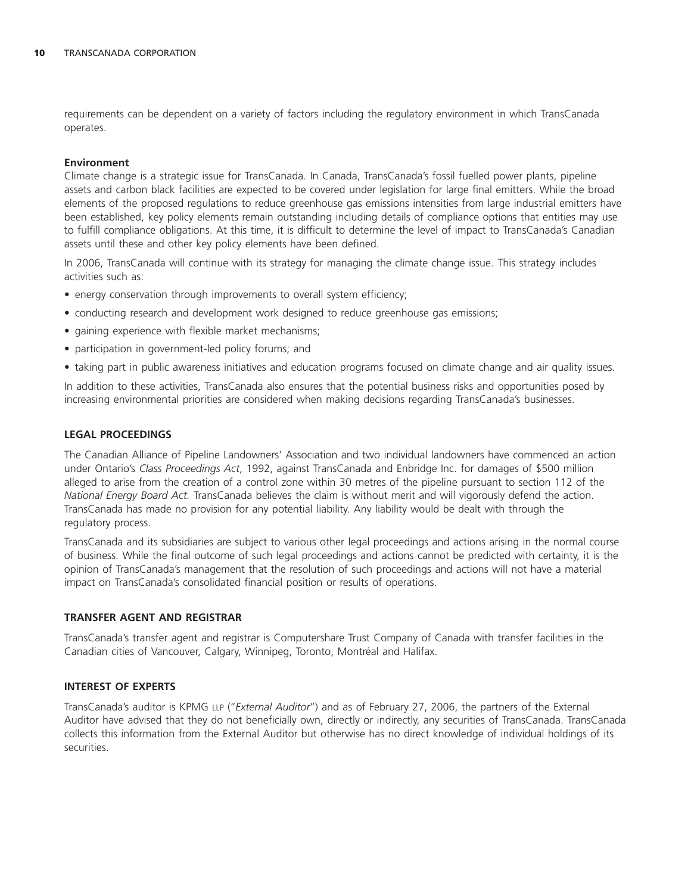requirements can be dependent on a variety of factors including the regulatory environment in which TransCanada operates.

#### **Environment**

Climate change is a strategic issue for TransCanada. In Canada, TransCanada's fossil fuelled power plants, pipeline assets and carbon black facilities are expected to be covered under legislation for large final emitters. While the broad elements of the proposed regulations to reduce greenhouse gas emissions intensities from large industrial emitters have been established, key policy elements remain outstanding including details of compliance options that entities may use to fulfill compliance obligations. At this time, it is difficult to determine the level of impact to TransCanada's Canadian assets until these and other key policy elements have been defined.

In 2006, TransCanada will continue with its strategy for managing the climate change issue. This strategy includes activities such as:

- energy conservation through improvements to overall system efficiency;
- conducting research and development work designed to reduce greenhouse gas emissions;
- gaining experience with flexible market mechanisms;
- participation in government-led policy forums; and
- taking part in public awareness initiatives and education programs focused on climate change and air quality issues.

In addition to these activities, TransCanada also ensures that the potential business risks and opportunities posed by increasing environmental priorities are considered when making decisions regarding TransCanada's businesses.

#### **LEGAL PROCEEDINGS**

The Canadian Alliance of Pipeline Landowners' Association and two individual landowners have commenced an action under Ontario's *Class Proceedings Act*, 1992, against TransCanada and Enbridge Inc. for damages of \$500 million alleged to arise from the creation of a control zone within 30 metres of the pipeline pursuant to section 112 of the *National Energy Board Act.* TransCanada believes the claim is without merit and will vigorously defend the action. TransCanada has made no provision for any potential liability. Any liability would be dealt with through the regulatory process.

TransCanada and its subsidiaries are subject to various other legal proceedings and actions arising in the normal course of business. While the final outcome of such legal proceedings and actions cannot be predicted with certainty, it is the opinion of TransCanada's management that the resolution of such proceedings and actions will not have a material impact on TransCanada's consolidated financial position or results of operations.

#### **TRANSFER AGENT AND REGISTRAR**

TransCanada's transfer agent and registrar is Computershare Trust Company of Canada with transfer facilities in the Canadian cities of Vancouver, Calgary, Winnipeg, Toronto, Montréal and Halifax.

### **INTEREST OF EXPERTS**

TransCanada's auditor is KPMG LLP (''*External Auditor*'') and as of February 27, 2006, the partners of the External Auditor have advised that they do not beneficially own, directly or indirectly, any securities of TransCanada. TransCanada collects this information from the External Auditor but otherwise has no direct knowledge of individual holdings of its securities.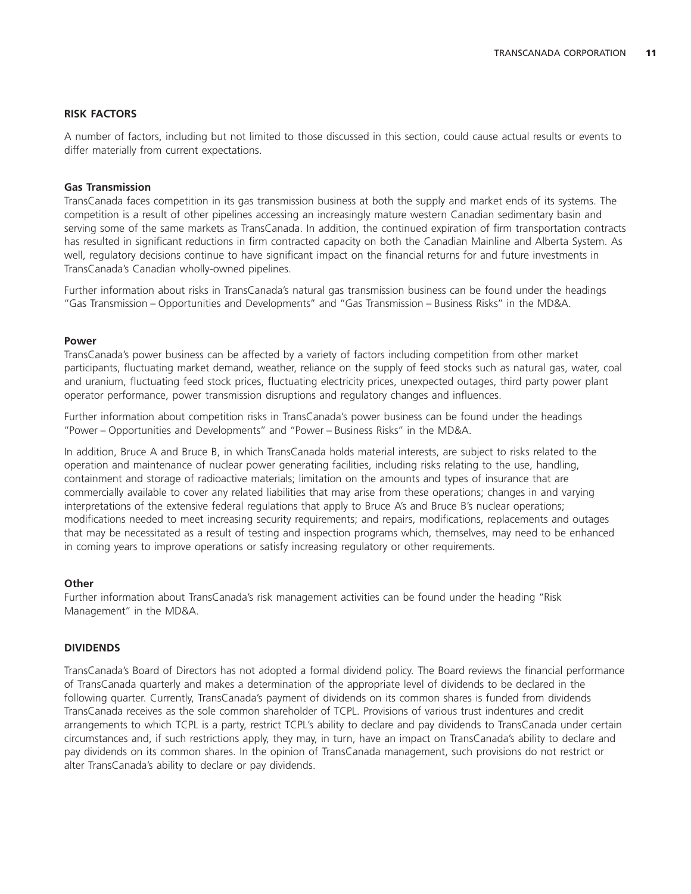#### **RISK FACTORS**

A number of factors, including but not limited to those discussed in this section, could cause actual results or events to differ materially from current expectations.

#### **Gas Transmission**

TransCanada faces competition in its gas transmission business at both the supply and market ends of its systems. The competition is a result of other pipelines accessing an increasingly mature western Canadian sedimentary basin and serving some of the same markets as TransCanada. In addition, the continued expiration of firm transportation contracts has resulted in significant reductions in firm contracted capacity on both the Canadian Mainline and Alberta System. As well, regulatory decisions continue to have significant impact on the financial returns for and future investments in TransCanada's Canadian wholly-owned pipelines.

Further information about risks in TransCanada's natural gas transmission business can be found under the headings ''Gas Transmission – Opportunities and Developments'' and ''Gas Transmission – Business Risks'' in the MD&A.

#### **Power**

TransCanada's power business can be affected by a variety of factors including competition from other market participants, fluctuating market demand, weather, reliance on the supply of feed stocks such as natural gas, water, coal and uranium, fluctuating feed stock prices, fluctuating electricity prices, unexpected outages, third party power plant operator performance, power transmission disruptions and regulatory changes and influences.

Further information about competition risks in TransCanada's power business can be found under the headings ''Power – Opportunities and Developments'' and ''Power – Business Risks'' in the MD&A.

In addition, Bruce A and Bruce B, in which TransCanada holds material interests, are subject to risks related to the operation and maintenance of nuclear power generating facilities, including risks relating to the use, handling, containment and storage of radioactive materials; limitation on the amounts and types of insurance that are commercially available to cover any related liabilities that may arise from these operations; changes in and varying interpretations of the extensive federal regulations that apply to Bruce A's and Bruce B's nuclear operations; modifications needed to meet increasing security requirements; and repairs, modifications, replacements and outages that may be necessitated as a result of testing and inspection programs which, themselves, may need to be enhanced in coming years to improve operations or satisfy increasing regulatory or other requirements.

#### **Other**

Further information about TransCanada's risk management activities can be found under the heading ''Risk Management'' in the MD&A.

#### **DIVIDENDS**

TransCanada's Board of Directors has not adopted a formal dividend policy. The Board reviews the financial performance of TransCanada quarterly and makes a determination of the appropriate level of dividends to be declared in the following quarter. Currently, TransCanada's payment of dividends on its common shares is funded from dividends TransCanada receives as the sole common shareholder of TCPL. Provisions of various trust indentures and credit arrangements to which TCPL is a party, restrict TCPL's ability to declare and pay dividends to TransCanada under certain circumstances and, if such restrictions apply, they may, in turn, have an impact on TransCanada's ability to declare and pay dividends on its common shares. In the opinion of TransCanada management, such provisions do not restrict or alter TransCanada's ability to declare or pay dividends.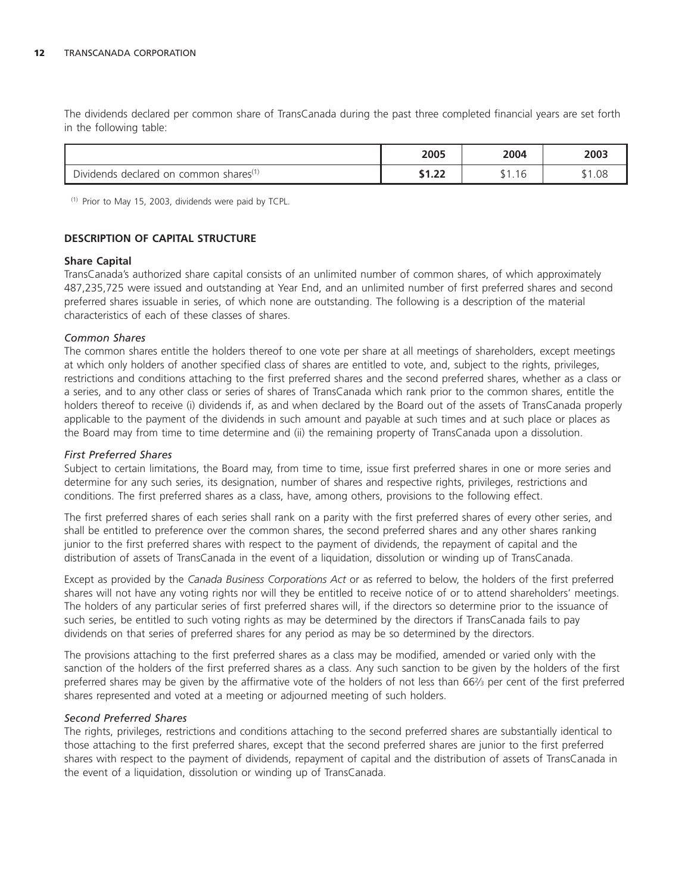The dividends declared per common share of TransCanada during the past three completed financial years are set forth in the following table:

|                                                                          | 2005                               | 2004                     | 2003 |
|--------------------------------------------------------------------------|------------------------------------|--------------------------|------|
| $\sim$ :<br>shares <sup>(</sup><br>Dividends<br>declared<br>common<br>on | $\sim$<br>$\overline{\phantom{a}}$ | $\overline{\phantom{a}}$ | 1.08 |

(1) Prior to May 15, 2003, dividends were paid by TCPL.

# **DESCRIPTION OF CAPITAL STRUCTURE**

#### **Share Capital**

TransCanada's authorized share capital consists of an unlimited number of common shares, of which approximately 487,235,725 were issued and outstanding at Year End, and an unlimited number of first preferred shares and second preferred shares issuable in series, of which none are outstanding. The following is a description of the material characteristics of each of these classes of shares.

# *Common Shares*

The common shares entitle the holders thereof to one vote per share at all meetings of shareholders, except meetings at which only holders of another specified class of shares are entitled to vote, and, subject to the rights, privileges, restrictions and conditions attaching to the first preferred shares and the second preferred shares, whether as a class or a series, and to any other class or series of shares of TransCanada which rank prior to the common shares, entitle the holders thereof to receive (i) dividends if, as and when declared by the Board out of the assets of TransCanada properly applicable to the payment of the dividends in such amount and payable at such times and at such place or places as the Board may from time to time determine and (ii) the remaining property of TransCanada upon a dissolution.

# *First Preferred Shares*

Subject to certain limitations, the Board may, from time to time, issue first preferred shares in one or more series and determine for any such series, its designation, number of shares and respective rights, privileges, restrictions and conditions. The first preferred shares as a class, have, among others, provisions to the following effect.

The first preferred shares of each series shall rank on a parity with the first preferred shares of every other series, and shall be entitled to preference over the common shares, the second preferred shares and any other shares ranking junior to the first preferred shares with respect to the payment of dividends, the repayment of capital and the distribution of assets of TransCanada in the event of a liquidation, dissolution or winding up of TransCanada.

Except as provided by the *Canada Business Corporations Act* or as referred to below, the holders of the first preferred shares will not have any voting rights nor will they be entitled to receive notice of or to attend shareholders' meetings. The holders of any particular series of first preferred shares will, if the directors so determine prior to the issuance of such series, be entitled to such voting rights as may be determined by the directors if TransCanada fails to pay dividends on that series of preferred shares for any period as may be so determined by the directors.

The provisions attaching to the first preferred shares as a class may be modified, amended or varied only with the sanction of the holders of the first preferred shares as a class. Any such sanction to be given by the holders of the first preferred shares may be given by the affirmative vote of the holders of not less than 662⁄3 per cent of the first preferred shares represented and voted at a meeting or adjourned meeting of such holders.

#### *Second Preferred Shares*

The rights, privileges, restrictions and conditions attaching to the second preferred shares are substantially identical to those attaching to the first preferred shares, except that the second preferred shares are junior to the first preferred shares with respect to the payment of dividends, repayment of capital and the distribution of assets of TransCanada in the event of a liquidation, dissolution or winding up of TransCanada.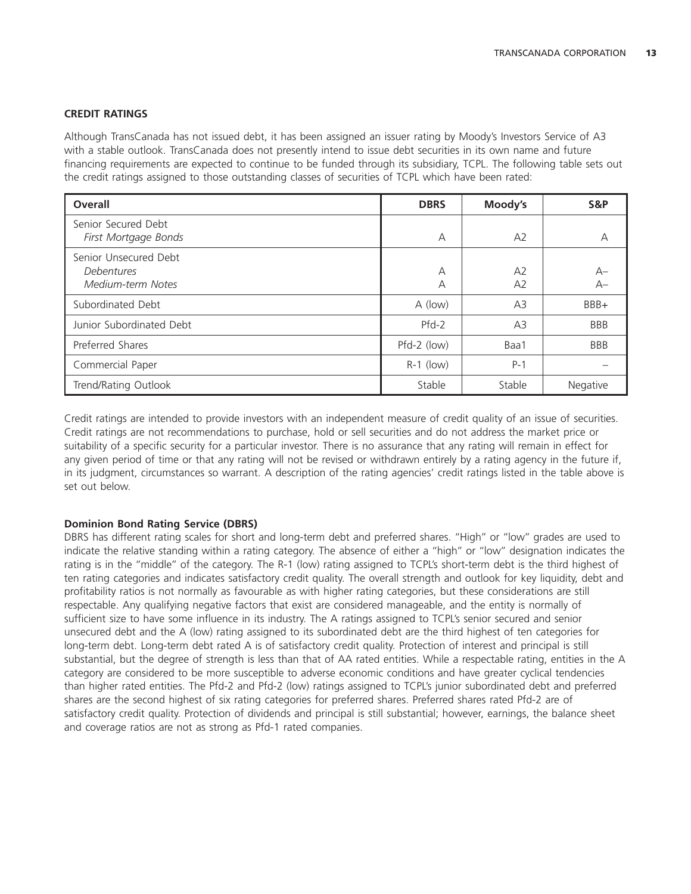# **CREDIT RATINGS**

Although TransCanada has not issued debt, it has been assigned an issuer rating by Moody's Investors Service of A3 with a stable outlook. TransCanada does not presently intend to issue debt securities in its own name and future financing requirements are expected to continue to be funded through its subsidiary, TCPL. The following table sets out the credit ratings assigned to those outstanding classes of securities of TCPL which have been rated:

| Overall                                                  | <b>DBRS</b> | Moody's              | S&P        |
|----------------------------------------------------------|-------------|----------------------|------------|
| Senior Secured Debt<br>First Mortgage Bonds              | А           | A2                   |            |
| Senior Unsecured Debt<br>Debentures<br>Medium-term Notes | A<br>А      | A2<br>A <sub>2</sub> | А–<br>$A-$ |
| Subordinated Debt                                        | A (low)     | A3                   | BBB+       |
| Junior Subordinated Debt                                 | $Pfd-2$     | A3                   | <b>BBB</b> |
| Preferred Shares                                         | Pfd-2 (low) | Baa1                 | <b>BBB</b> |
| Commercial Paper                                         | $R-1$ (low) | $P-1$                |            |
| Trend/Rating Outlook                                     | Stable      | Stable               | Negative   |

Credit ratings are intended to provide investors with an independent measure of credit quality of an issue of securities. Credit ratings are not recommendations to purchase, hold or sell securities and do not address the market price or suitability of a specific security for a particular investor. There is no assurance that any rating will remain in effect for any given period of time or that any rating will not be revised or withdrawn entirely by a rating agency in the future if, in its judgment, circumstances so warrant. A description of the rating agencies' credit ratings listed in the table above is set out below.

#### **Dominion Bond Rating Service (DBRS)**

DBRS has different rating scales for short and long-term debt and preferred shares. ''High'' or ''low'' grades are used to indicate the relative standing within a rating category. The absence of either a ''high'' or ''low'' designation indicates the rating is in the ''middle'' of the category. The R-1 (low) rating assigned to TCPL's short-term debt is the third highest of ten rating categories and indicates satisfactory credit quality. The overall strength and outlook for key liquidity, debt and profitability ratios is not normally as favourable as with higher rating categories, but these considerations are still respectable. Any qualifying negative factors that exist are considered manageable, and the entity is normally of sufficient size to have some influence in its industry. The A ratings assigned to TCPL's senior secured and senior unsecured debt and the A (low) rating assigned to its subordinated debt are the third highest of ten categories for long-term debt. Long-term debt rated A is of satisfactory credit quality. Protection of interest and principal is still substantial, but the degree of strength is less than that of AA rated entities. While a respectable rating, entities in the A category are considered to be more susceptible to adverse economic conditions and have greater cyclical tendencies than higher rated entities. The Pfd-2 and Pfd-2 (low) ratings assigned to TCPL's junior subordinated debt and preferred shares are the second highest of six rating categories for preferred shares. Preferred shares rated Pfd-2 are of satisfactory credit quality. Protection of dividends and principal is still substantial; however, earnings, the balance sheet and coverage ratios are not as strong as Pfd-1 rated companies.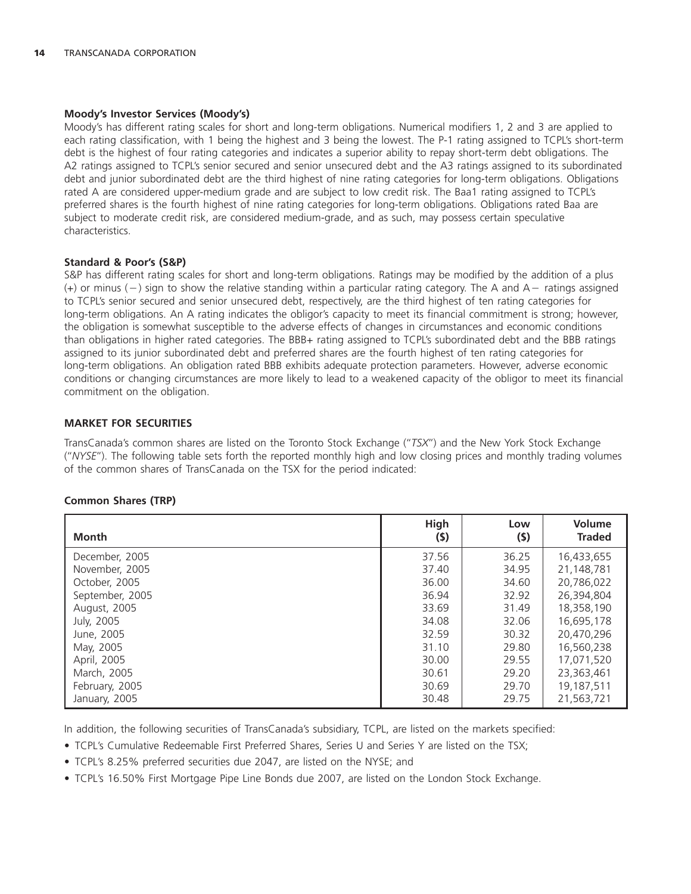#### **Moody's Investor Services (Moody's)**

Moody's has different rating scales for short and long-term obligations. Numerical modifiers 1, 2 and 3 are applied to each rating classification, with 1 being the highest and 3 being the lowest. The P-1 rating assigned to TCPL's short-term debt is the highest of four rating categories and indicates a superior ability to repay short-term debt obligations. The A2 ratings assigned to TCPL's senior secured and senior unsecured debt and the A3 ratings assigned to its subordinated debt and junior subordinated debt are the third highest of nine rating categories for long-term obligations. Obligations rated A are considered upper-medium grade and are subject to low credit risk. The Baa1 rating assigned to TCPL's preferred shares is the fourth highest of nine rating categories for long-term obligations. Obligations rated Baa are subject to moderate credit risk, are considered medium-grade, and as such, may possess certain speculative characteristics.

#### **Standard & Poor's (S&P)**

S&P has different rating scales for short and long-term obligations. Ratings may be modified by the addition of a plus (+) or minus ( – ) sign to show the relative standing within a particular rating category. The A and A – ratings assigned to TCPL's senior secured and senior unsecured debt, respectively, are the third highest of ten rating categories for long-term obligations. An A rating indicates the obligor's capacity to meet its financial commitment is strong; however, the obligation is somewhat susceptible to the adverse effects of changes in circumstances and economic conditions than obligations in higher rated categories. The BBB+ rating assigned to TCPL's subordinated debt and the BBB ratings assigned to its junior subordinated debt and preferred shares are the fourth highest of ten rating categories for long-term obligations. An obligation rated BBB exhibits adequate protection parameters. However, adverse economic conditions or changing circumstances are more likely to lead to a weakened capacity of the obligor to meet its financial commitment on the obligation.

# **MARKET FOR SECURITIES**

TransCanada's common shares are listed on the Toronto Stock Exchange (''*TSX*'') and the New York Stock Exchange (''*NYSE*''). The following table sets forth the reported monthly high and low closing prices and monthly trading volumes of the common shares of TransCanada on the TSX for the period indicated:

| <b>Month</b>    | High<br>(\$) | Low<br>(5) | Volume<br><b>Traded</b> |
|-----------------|--------------|------------|-------------------------|
| December, 2005  | 37.56        | 36.25      | 16,433,655              |
| November, 2005  | 37.40        | 34.95      | 21,148,781              |
| October, 2005   | 36.00        | 34.60      | 20,786,022              |
| September, 2005 | 36.94        | 32.92      | 26,394,804              |
| August, 2005    | 33.69        | 31.49      | 18,358,190              |
| July, 2005      | 34.08        | 32.06      | 16,695,178              |
| June, 2005      | 32.59        | 30.32      | 20,470,296              |
| May, 2005       | 31.10        | 29.80      | 16,560,238              |
| April, 2005     | 30.00        | 29.55      | 17,071,520              |
| March, 2005     | 30.61        | 29.20      | 23,363,461              |
| February, 2005  | 30.69        | 29.70      | 19,187,511              |
| January, 2005   | 30.48        | 29.75      | 21,563,721              |

# **Common Shares (TRP)**

In addition, the following securities of TransCanada's subsidiary, TCPL, are listed on the markets specified:

• TCPL's Cumulative Redeemable First Preferred Shares, Series U and Series Y are listed on the TSX;

• TCPL's 8.25% preferred securities due 2047, are listed on the NYSE; and

• TCPL's 16.50% First Mortgage Pipe Line Bonds due 2007, are listed on the London Stock Exchange.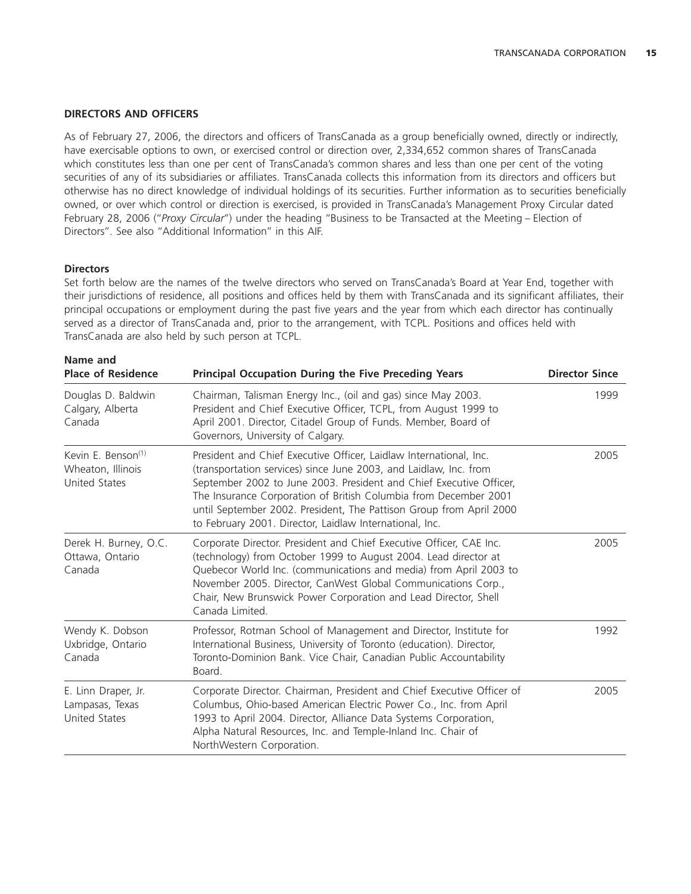#### **DIRECTORS AND OFFICERS**

As of February 27, 2006, the directors and officers of TransCanada as a group beneficially owned, directly or indirectly, have exercisable options to own, or exercised control or direction over, 2,334,652 common shares of TransCanada which constitutes less than one per cent of TransCanada's common shares and less than one per cent of the voting securities of any of its subsidiaries or affiliates. TransCanada collects this information from its directors and officers but otherwise has no direct knowledge of individual holdings of its securities. Further information as to securities beneficially owned, or over which control or direction is exercised, is provided in TransCanada's Management Proxy Circular dated February 28, 2006 (''*Proxy Circular*'') under the heading ''Business to be Transacted at the Meeting – Election of Directors''. See also ''Additional Information'' in this AIF.

#### **Directors**

Set forth below are the names of the twelve directors who served on TransCanada's Board at Year End, together with their jurisdictions of residence, all positions and offices held by them with TransCanada and its significant affiliates, their principal occupations or employment during the past five years and the year from which each director has continually served as a director of TransCanada and, prior to the arrangement, with TCPL. Positions and offices held with TransCanada are also held by such person at TCPL.

| Name and<br><b>Place of Residence</b><br><b>Principal Occupation During the Five Preceding Years</b>                                                                                                                                                                                                                                                                                                                     |                                                                                                                                                                                                                                                                                                                                                                                                                      | <b>Director Since</b> |  |
|--------------------------------------------------------------------------------------------------------------------------------------------------------------------------------------------------------------------------------------------------------------------------------------------------------------------------------------------------------------------------------------------------------------------------|----------------------------------------------------------------------------------------------------------------------------------------------------------------------------------------------------------------------------------------------------------------------------------------------------------------------------------------------------------------------------------------------------------------------|-----------------------|--|
| Douglas D. Baldwin<br>Calgary, Alberta<br>Canada                                                                                                                                                                                                                                                                                                                                                                         | Chairman, Talisman Energy Inc., (oil and gas) since May 2003.<br>President and Chief Executive Officer, TCPL, from August 1999 to<br>April 2001. Director, Citadel Group of Funds. Member, Board of<br>Governors, University of Calgary.                                                                                                                                                                             | 1999                  |  |
| Kevin E. Benson <sup>(1)</sup><br>Wheaton, Illinois<br><b>United States</b>                                                                                                                                                                                                                                                                                                                                              | President and Chief Executive Officer, Laidlaw International, Inc.<br>(transportation services) since June 2003, and Laidlaw, Inc. from<br>September 2002 to June 2003. President and Chief Executive Officer,<br>The Insurance Corporation of British Columbia from December 2001<br>until September 2002. President, The Pattison Group from April 2000<br>to February 2001. Director, Laidlaw International, Inc. | 2005                  |  |
| Derek H. Burney, O.C.<br>Corporate Director. President and Chief Executive Officer, CAE Inc.<br>(technology) from October 1999 to August 2004. Lead director at<br>Ottawa, Ontario<br>Canada<br>Quebecor World Inc. (communications and media) from April 2003 to<br>November 2005. Director, CanWest Global Communications Corp.,<br>Chair, New Brunswick Power Corporation and Lead Director, Shell<br>Canada Limited. |                                                                                                                                                                                                                                                                                                                                                                                                                      | 2005                  |  |
| Wendy K. Dobson<br>Uxbridge, Ontario<br>Canada                                                                                                                                                                                                                                                                                                                                                                           | Professor, Rotman School of Management and Director, Institute for<br>International Business, University of Toronto (education). Director,<br>Toronto-Dominion Bank. Vice Chair, Canadian Public Accountability<br>Board.                                                                                                                                                                                            | 1992                  |  |
| E. Linn Draper, Jr.<br>Lampasas, Texas<br><b>United States</b>                                                                                                                                                                                                                                                                                                                                                           | Corporate Director. Chairman, President and Chief Executive Officer of<br>Columbus, Ohio-based American Electric Power Co., Inc. from April<br>1993 to April 2004. Director, Alliance Data Systems Corporation,<br>Alpha Natural Resources, Inc. and Temple-Inland Inc. Chair of<br>NorthWestern Corporation.                                                                                                        | 2005                  |  |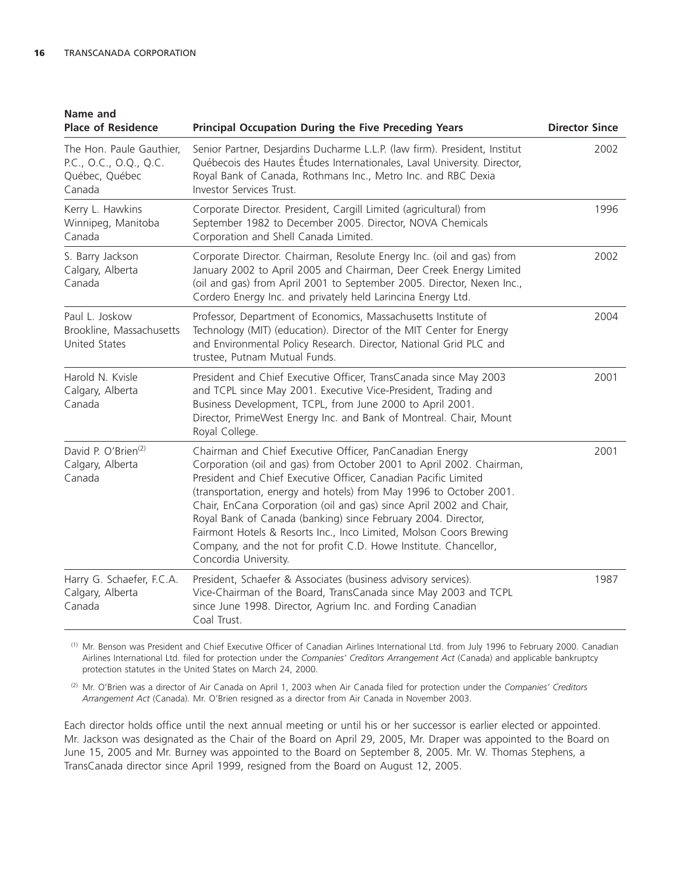| Name and<br><b>Place of Residence</b>                                          | <b>Principal Occupation During the Five Preceding Years</b>                                                                                                                                                                                                                                                                                                                                                                                                                                                                                                                          | <b>Director Since</b> |
|--------------------------------------------------------------------------------|--------------------------------------------------------------------------------------------------------------------------------------------------------------------------------------------------------------------------------------------------------------------------------------------------------------------------------------------------------------------------------------------------------------------------------------------------------------------------------------------------------------------------------------------------------------------------------------|-----------------------|
| The Hon. Paule Gauthier,<br>P.C., O.C., O.Q., Q.C.<br>Québec, Québec<br>Canada | Senior Partner, Desjardins Ducharme L.L.P. (law firm). President, Institut<br>Québecois des Hautes Études Internationales, Laval University. Director,<br>Royal Bank of Canada, Rothmans Inc., Metro Inc. and RBC Dexia<br>Investor Services Trust.                                                                                                                                                                                                                                                                                                                                  | 2002                  |
| Kerry L. Hawkins<br>Winnipeg, Manitoba<br>Canada                               | Corporate Director. President, Cargill Limited (agricultural) from<br>September 1982 to December 2005. Director, NOVA Chemicals<br>Corporation and Shell Canada Limited.                                                                                                                                                                                                                                                                                                                                                                                                             | 1996                  |
| S. Barry Jackson<br>Calgary, Alberta<br>Canada                                 | Corporate Director. Chairman, Resolute Energy Inc. (oil and gas) from<br>January 2002 to April 2005 and Chairman, Deer Creek Energy Limited<br>(oil and gas) from April 2001 to September 2005. Director, Nexen Inc.,<br>Cordero Energy Inc. and privately held Larincina Energy Ltd.                                                                                                                                                                                                                                                                                                | 2002                  |
| Paul L. Joskow<br>Brookline, Massachusetts<br><b>United States</b>             | Professor, Department of Economics, Massachusetts Institute of<br>Technology (MIT) (education). Director of the MIT Center for Energy<br>and Environmental Policy Research. Director, National Grid PLC and<br>trustee, Putnam Mutual Funds.                                                                                                                                                                                                                                                                                                                                         | 2004                  |
| Harold N. Kvisle<br>Calgary, Alberta<br>Canada                                 | President and Chief Executive Officer, TransCanada since May 2003<br>and TCPL since May 2001. Executive Vice-President, Trading and<br>Business Development, TCPL, from June 2000 to April 2001.<br>Director, PrimeWest Energy Inc. and Bank of Montreal. Chair, Mount<br>Royal College.                                                                                                                                                                                                                                                                                             | 2001                  |
| David P. O'Brien <sup>(2)</sup><br>Calgary, Alberta<br>Canada                  | Chairman and Chief Executive Officer, PanCanadian Energy<br>Corporation (oil and gas) from October 2001 to April 2002. Chairman,<br>President and Chief Executive Officer, Canadian Pacific Limited<br>(transportation, energy and hotels) from May 1996 to October 2001.<br>Chair, EnCana Corporation (oil and gas) since April 2002 and Chair,<br>Royal Bank of Canada (banking) since February 2004. Director,<br>Fairmont Hotels & Resorts Inc., Inco Limited, Molson Coors Brewing<br>Company, and the not for profit C.D. Howe Institute. Chancellor,<br>Concordia University. | 2001                  |
| Harry G. Schaefer, F.C.A.<br>Calgary, Alberta<br>Canada                        | President, Schaefer & Associates (business advisory services).<br>Vice-Chairman of the Board, TransCanada since May 2003 and TCPL<br>since June 1998. Director, Agrium Inc. and Fording Canadian<br>Coal Trust.                                                                                                                                                                                                                                                                                                                                                                      | 1987                  |

(1) Mr. Benson was President and Chief Executive Officer of Canadian Airlines International Ltd. from July 1996 to February 2000. Canadian Airlines International Ltd. filed for protection under the *Companies' Creditors Arrangement Act* (Canada) and applicable bankruptcy protection statutes in the United States on March 24, 2000.

(2) Mr. O'Brien was a director of Air Canada on April 1, 2003 when Air Canada filed for protection under the *Companies' Creditors Arrangement Act* (Canada). Mr. O'Brien resigned as a director from Air Canada in November 2003.

Each director holds office until the next annual meeting or until his or her successor is earlier elected or appointed. Mr. Jackson was designated as the Chair of the Board on April 29, 2005, Mr. Draper was appointed to the Board on June 15, 2005 and Mr. Burney was appointed to the Board on September 8, 2005. Mr. W. Thomas Stephens, a TransCanada director since April 1999, resigned from the Board on August 12, 2005.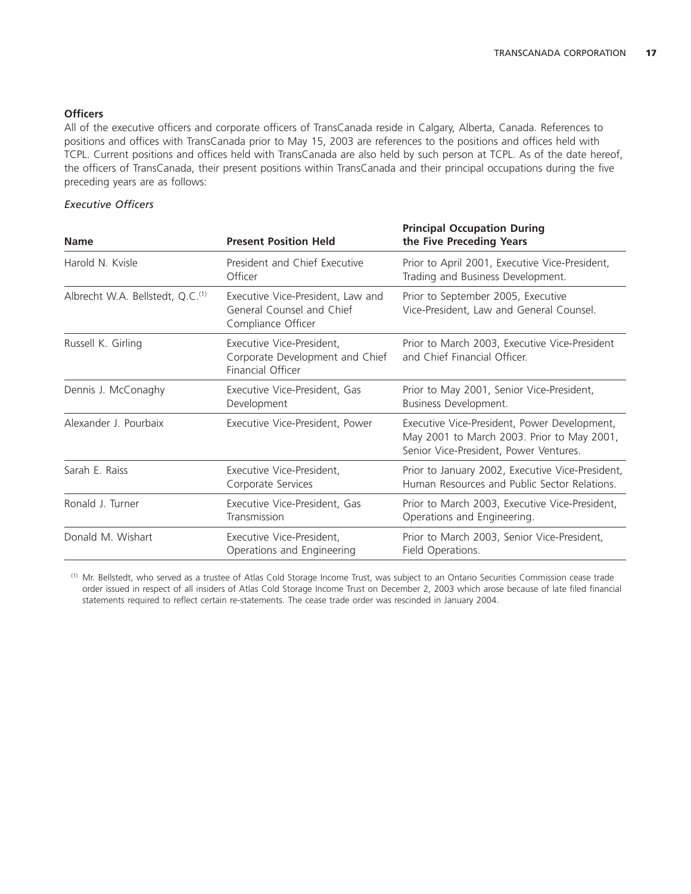# **Officers**

All of the executive officers and corporate officers of TransCanada reside in Calgary, Alberta, Canada. References to positions and offices with TransCanada prior to May 15, 2003 are references to the positions and offices held with TCPL. Current positions and offices held with TransCanada are also held by such person at TCPL. As of the date hereof, the officers of TransCanada, their present positions within TransCanada and their principal occupations during the five preceding years are as follows:

# *Executive Officers*

| <b>Name</b>                                  | <b>Present Position Held</b>                                                         | <b>Principal Occupation During</b><br>the Five Preceding Years                                                                       |
|----------------------------------------------|--------------------------------------------------------------------------------------|--------------------------------------------------------------------------------------------------------------------------------------|
| Harold N. Kvisle                             | President and Chief Executive<br>Officer                                             | Prior to April 2001, Executive Vice-President,<br>Trading and Business Development.                                                  |
| Albrecht W.A. Bellstedt, Q.C. <sup>(1)</sup> | Executive Vice-President, Law and<br>General Counsel and Chief<br>Compliance Officer | Prior to September 2005, Executive<br>Vice-President, Law and General Counsel.                                                       |
| Russell K. Girling                           | Executive Vice-President,<br>Corporate Development and Chief<br>Financial Officer    | Prior to March 2003, Executive Vice-President<br>and Chief Financial Officer.                                                        |
| Dennis J. McConaghy                          | Executive Vice-President, Gas<br>Development                                         | Prior to May 2001, Senior Vice-President,<br>Business Development.                                                                   |
| Alexander J. Pourbaix                        | Executive Vice-President, Power                                                      | Executive Vice-President, Power Development,<br>May 2001 to March 2003. Prior to May 2001,<br>Senior Vice-President, Power Ventures. |
| Sarah E. Raiss                               | Executive Vice-President,<br>Corporate Services                                      | Prior to January 2002, Executive Vice-President,<br>Human Resources and Public Sector Relations.                                     |
| Ronald J. Turner                             | Executive Vice-President, Gas<br>Transmission                                        | Prior to March 2003, Executive Vice-President,<br>Operations and Engineering.                                                        |
| Donald M. Wishart                            | Executive Vice-President,<br>Operations and Engineering                              | Prior to March 2003, Senior Vice-President,<br>Field Operations.                                                                     |

(1) Mr. Bellstedt, who served as a trustee of Atlas Cold Storage Income Trust, was subject to an Ontario Securities Commission cease trade order issued in respect of all insiders of Atlas Cold Storage Income Trust on December 2, 2003 which arose because of late filed financial statements required to reflect certain re-statements. The cease trade order was rescinded in January 2004.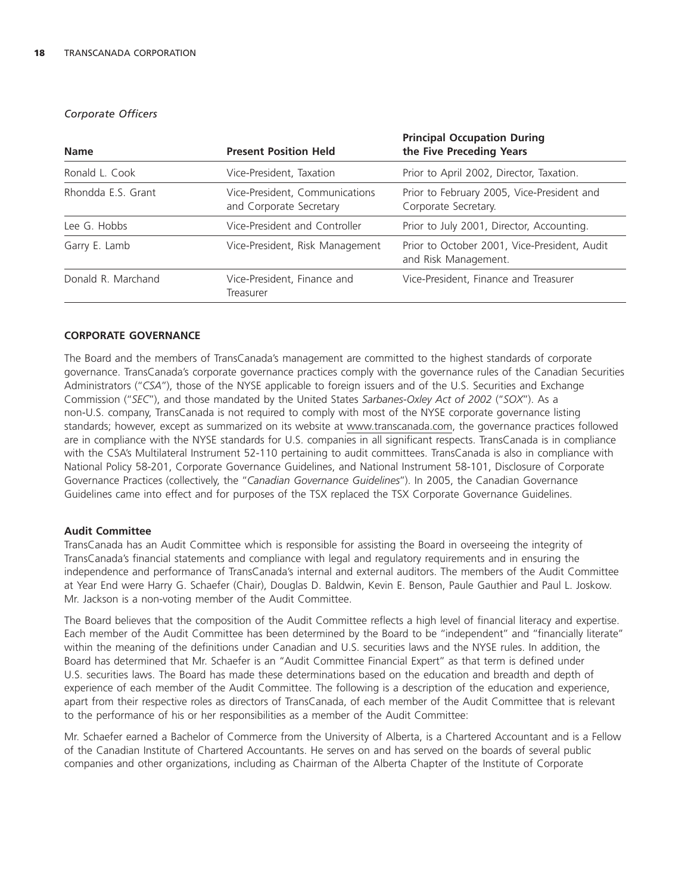# *Corporate Officers*

| <b>Name</b>        | <b>Present Position Held</b>                              | <b>Principal Occupation During</b><br>the Five Preceding Years       |
|--------------------|-----------------------------------------------------------|----------------------------------------------------------------------|
| Ronald L. Cook     | Vice-President, Taxation                                  | Prior to April 2002, Director, Taxation.                             |
| Rhondda E.S. Grant | Vice-President, Communications<br>and Corporate Secretary | Prior to February 2005, Vice-President and<br>Corporate Secretary.   |
| Lee G. Hobbs       | Vice-President and Controller                             | Prior to July 2001, Director, Accounting.                            |
| Garry E. Lamb      | Vice-President, Risk Management                           | Prior to October 2001, Vice-President, Audit<br>and Risk Management. |
| Donald R. Marchand | Vice-President, Finance and<br>Treasurer                  | Vice-President, Finance and Treasurer                                |

# **CORPORATE GOVERNANCE**

The Board and the members of TransCanada's management are committed to the highest standards of corporate governance. TransCanada's corporate governance practices comply with the governance rules of the Canadian Securities Administrators (''*CSA*''), those of the NYSE applicable to foreign issuers and of the U.S. Securities and Exchange Commission (''*SEC*''), and those mandated by the United States *Sarbanes-Oxley Act of 2002* (''*SOX*''). As a non-U.S. company, TransCanada is not required to comply with most of the NYSE corporate governance listing standards; however, except as summarized on its website at www.transcanada.com, the governance practices followed are in compliance with the NYSE standards for U.S. companies in all significant respects. TransCanada is in compliance with the CSA's Multilateral Instrument 52-110 pertaining to audit committees. TransCanada is also in compliance with National Policy 58-201, Corporate Governance Guidelines, and National Instrument 58-101, Disclosure of Corporate Governance Practices (collectively, the ''*Canadian Governance Guidelines*''). In 2005, the Canadian Governance Guidelines came into effect and for purposes of the TSX replaced the TSX Corporate Governance Guidelines.

### **Audit Committee**

TransCanada has an Audit Committee which is responsible for assisting the Board in overseeing the integrity of TransCanada's financial statements and compliance with legal and regulatory requirements and in ensuring the independence and performance of TransCanada's internal and external auditors. The members of the Audit Committee at Year End were Harry G. Schaefer (Chair), Douglas D. Baldwin, Kevin E. Benson, Paule Gauthier and Paul L. Joskow. Mr. Jackson is a non-voting member of the Audit Committee.

The Board believes that the composition of the Audit Committee reflects a high level of financial literacy and expertise. Each member of the Audit Committee has been determined by the Board to be ''independent'' and ''financially literate'' within the meaning of the definitions under Canadian and U.S. securities laws and the NYSE rules. In addition, the Board has determined that Mr. Schaefer is an ''Audit Committee Financial Expert'' as that term is defined under U.S. securities laws. The Board has made these determinations based on the education and breadth and depth of experience of each member of the Audit Committee. The following is a description of the education and experience, apart from their respective roles as directors of TransCanada, of each member of the Audit Committee that is relevant to the performance of his or her responsibilities as a member of the Audit Committee:

Mr. Schaefer earned a Bachelor of Commerce from the University of Alberta, is a Chartered Accountant and is a Fellow of the Canadian Institute of Chartered Accountants. He serves on and has served on the boards of several public companies and other organizations, including as Chairman of the Alberta Chapter of the Institute of Corporate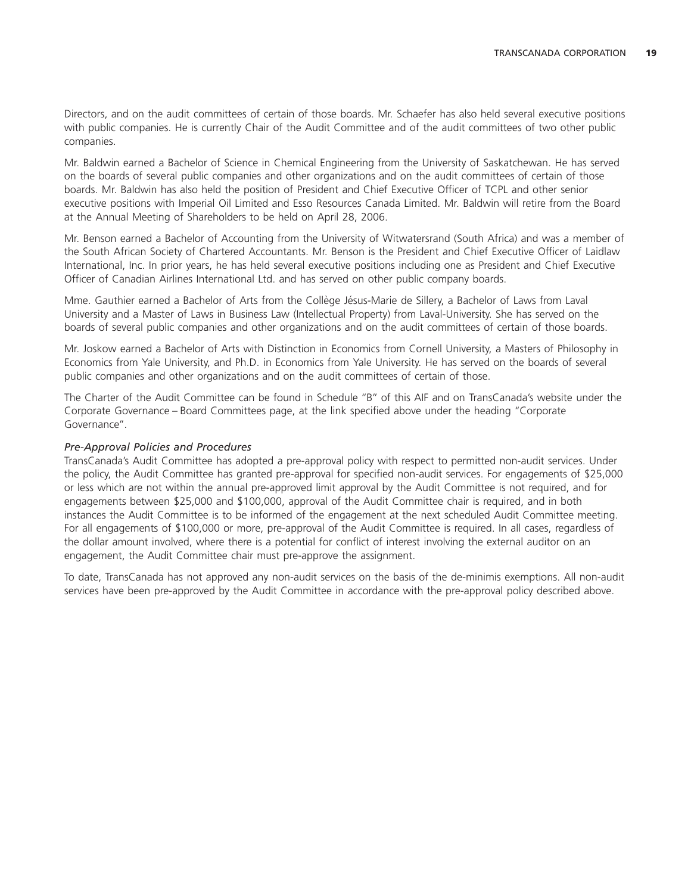Directors, and on the audit committees of certain of those boards. Mr. Schaefer has also held several executive positions with public companies. He is currently Chair of the Audit Committee and of the audit committees of two other public companies.

Mr. Baldwin earned a Bachelor of Science in Chemical Engineering from the University of Saskatchewan. He has served on the boards of several public companies and other organizations and on the audit committees of certain of those boards. Mr. Baldwin has also held the position of President and Chief Executive Officer of TCPL and other senior executive positions with Imperial Oil Limited and Esso Resources Canada Limited. Mr. Baldwin will retire from the Board at the Annual Meeting of Shareholders to be held on April 28, 2006.

Mr. Benson earned a Bachelor of Accounting from the University of Witwatersrand (South Africa) and was a member of the South African Society of Chartered Accountants. Mr. Benson is the President and Chief Executive Officer of Laidlaw International, Inc. In prior years, he has held several executive positions including one as President and Chief Executive Officer of Canadian Airlines International Ltd. and has served on other public company boards.

Mme. Gauthier earned a Bachelor of Arts from the Collège Jésus-Marie de Sillery, a Bachelor of Laws from Laval University and a Master of Laws in Business Law (Intellectual Property) from Laval-University. She has served on the boards of several public companies and other organizations and on the audit committees of certain of those boards.

Mr. Joskow earned a Bachelor of Arts with Distinction in Economics from Cornell University, a Masters of Philosophy in Economics from Yale University, and Ph.D. in Economics from Yale University. He has served on the boards of several public companies and other organizations and on the audit committees of certain of those.

The Charter of the Audit Committee can be found in Schedule "B" of this AIF and on TransCanada's website under the Corporate Governance – Board Committees page, at the link specified above under the heading ''Corporate Governance''.

# *Pre-Approval Policies and Procedures*

TransCanada's Audit Committee has adopted a pre-approval policy with respect to permitted non-audit services. Under the policy, the Audit Committee has granted pre-approval for specified non-audit services. For engagements of \$25,000 or less which are not within the annual pre-approved limit approval by the Audit Committee is not required, and for engagements between \$25,000 and \$100,000, approval of the Audit Committee chair is required, and in both instances the Audit Committee is to be informed of the engagement at the next scheduled Audit Committee meeting. For all engagements of \$100,000 or more, pre-approval of the Audit Committee is required. In all cases, regardless of the dollar amount involved, where there is a potential for conflict of interest involving the external auditor on an engagement, the Audit Committee chair must pre-approve the assignment.

To date, TransCanada has not approved any non-audit services on the basis of the de-minimis exemptions. All non-audit services have been pre-approved by the Audit Committee in accordance with the pre-approval policy described above.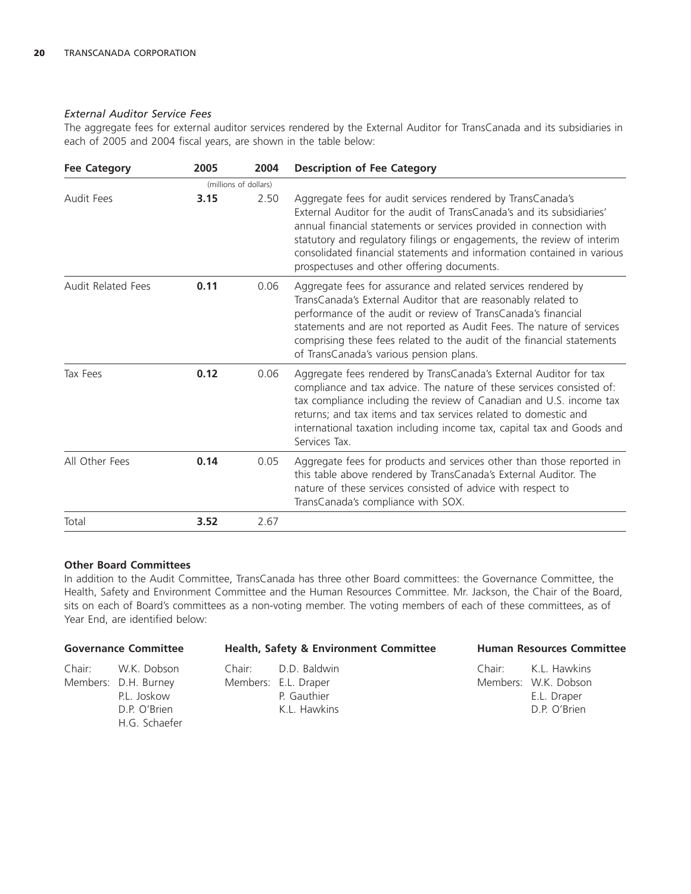# *External Auditor Service Fees*

The aggregate fees for external auditor services rendered by the External Auditor for TransCanada and its subsidiaries in each of 2005 and 2004 fiscal years, are shown in the table below:

| <b>Fee Category</b>       | 2005 | 2004                  | <b>Description of Fee Category</b>                                                                                                                                                                                                                                                                                                                                                                            |
|---------------------------|------|-----------------------|---------------------------------------------------------------------------------------------------------------------------------------------------------------------------------------------------------------------------------------------------------------------------------------------------------------------------------------------------------------------------------------------------------------|
|                           |      | (millions of dollars) |                                                                                                                                                                                                                                                                                                                                                                                                               |
| Audit Fees                | 3.15 | 2.50                  | Aggregate fees for audit services rendered by TransCanada's<br>External Auditor for the audit of TransCanada's and its subsidiaries'<br>annual financial statements or services provided in connection with<br>statutory and regulatory filings or engagements, the review of interim<br>consolidated financial statements and information contained in various<br>prospectuses and other offering documents. |
| <b>Audit Related Fees</b> | 0.11 | 0.06                  | Aggregate fees for assurance and related services rendered by<br>TransCanada's External Auditor that are reasonably related to<br>performance of the audit or review of TransCanada's financial<br>statements and are not reported as Audit Fees. The nature of services<br>comprising these fees related to the audit of the financial statements<br>of TransCanada's various pension plans.                 |
| Tax Fees                  | 0.12 | 0.06                  | Aggregate fees rendered by TransCanada's External Auditor for tax<br>compliance and tax advice. The nature of these services consisted of:<br>tax compliance including the review of Canadian and U.S. income tax<br>returns; and tax items and tax services related to domestic and<br>international taxation including income tax, capital tax and Goods and<br>Services Tax.                               |
| All Other Fees            | 0.14 | 0.05                  | Aggregate fees for products and services other than those reported in<br>this table above rendered by TransCanada's External Auditor. The<br>nature of these services consisted of advice with respect to<br>TransCanada's compliance with SOX.                                                                                                                                                               |
| Total                     | 3.52 | 2.67                  |                                                                                                                                                                                                                                                                                                                                                                                                               |

# **Other Board Committees**

In addition to the Audit Committee, TransCanada has three other Board committees: the Governance Committee, the Health, Safety and Environment Committee and the Human Resources Committee. Mr. Jackson, the Chair of the Board, sits on each of Board's committees as a non-voting member. The voting members of each of these committees, as of Year End, are identified below:

| <b>Governance Committee</b> |                                                                                            | <b>Health, Safety &amp; Environment Committee</b>                          |  | <b>Human Resources Committee</b>                                           |  |
|-----------------------------|--------------------------------------------------------------------------------------------|----------------------------------------------------------------------------|--|----------------------------------------------------------------------------|--|
|                             | Chair: W.K. Dobson<br>Members: D.H. Burney<br>P.L. Joskow<br>D.P. O'Brien<br>H.G. Schaefer | Chair: D.D. Baldwin<br>Members: E.L. Draper<br>P. Gauthier<br>K.L. Hawkins |  | Chair: K.L. Hawkins<br>Members: W.K. Dobson<br>E.L. Draper<br>D.P. O'Brien |  |
|                             |                                                                                            |                                                                            |  |                                                                            |  |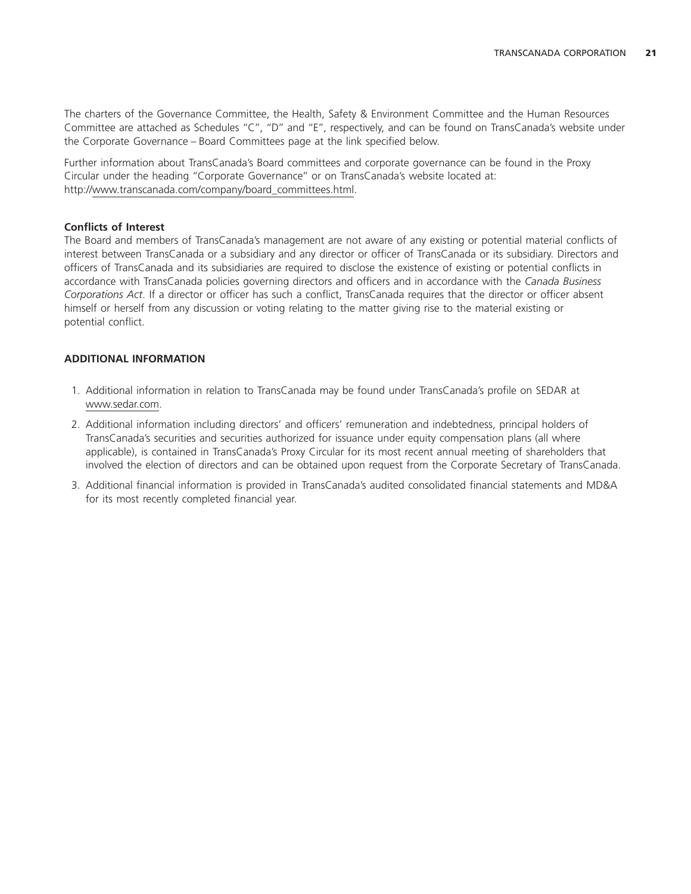The charters of the Governance Committee, the Health, Safety & Environment Committee and the Human Resources Committee are attached as Schedules ''C'', ''D'' and ''E'', respectively, and can be found on TransCanada's website under the Corporate Governance – Board Committees page at the link specified below.

Further information about TransCanada's Board committees and corporate governance can be found in the Proxy Circular under the heading ''Corporate Governance'' or on TransCanada's website located at: http://www.transcanada.com/company/board\_committees.html.

# **Conflicts of Interest**

The Board and members of TransCanada's management are not aware of any existing or potential material conflicts of interest between TransCanada or a subsidiary and any director or officer of TransCanada or its subsidiary. Directors and officers of TransCanada and its subsidiaries are required to disclose the existence of existing or potential conflicts in accordance with TransCanada policies governing directors and officers and in accordance with the *Canada Business Corporations Act*. If a director or officer has such a conflict, TransCanada requires that the director or officer absent himself or herself from any discussion or voting relating to the matter giving rise to the material existing or potential conflict.

# **ADDITIONAL INFORMATION**

- 1. Additional information in relation to TransCanada may be found under TransCanada's profile on SEDAR at www.sedar.com.
- 2. Additional information including directors' and officers' remuneration and indebtedness, principal holders of TransCanada's securities and securities authorized for issuance under equity compensation plans (all where applicable), is contained in TransCanada's Proxy Circular for its most recent annual meeting of shareholders that involved the election of directors and can be obtained upon request from the Corporate Secretary of TransCanada.
- 3. Additional financial information is provided in TransCanada's audited consolidated financial statements and MD&A for its most recently completed financial year.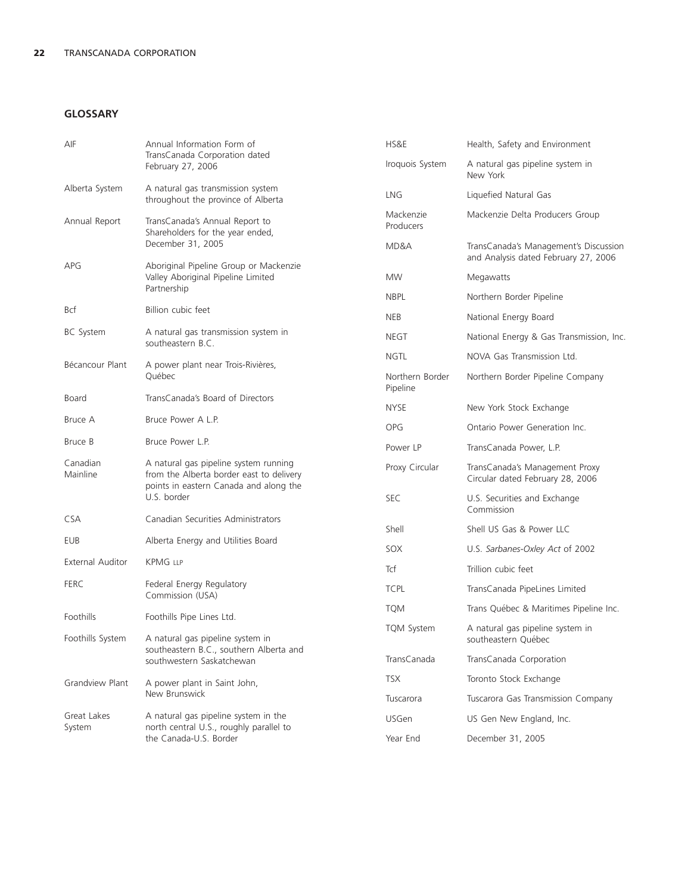# **GLOSSARY**

| AIF                   | Annual Information Form of                                                                                                                 | HS&E                        | Health, Safety and Environment                                                |  |
|-----------------------|--------------------------------------------------------------------------------------------------------------------------------------------|-----------------------------|-------------------------------------------------------------------------------|--|
|                       | TransCanada Corporation dated<br>February 27, 2006                                                                                         | Iroquois System             | A natural gas pipeline system in<br>New York                                  |  |
| Alberta System        | A natural gas transmission system<br>throughout the province of Alberta                                                                    | <b>LNG</b>                  | Liquefied Natural Gas                                                         |  |
| Annual Report         | TransCanada's Annual Report to<br>Shareholders for the year ended,                                                                         | Mackenzie<br>Producers      | Mackenzie Delta Producers Group                                               |  |
|                       | December 31, 2005<br>Aboriginal Pipeline Group or Mackenzie<br>Valley Aboriginal Pipeline Limited                                          | MD&A                        | TransCanada's Management's Discussion<br>and Analysis dated February 27, 2006 |  |
| APG                   |                                                                                                                                            | <b>MW</b>                   | Megawatts                                                                     |  |
|                       | Partnership                                                                                                                                | <b>NBPL</b>                 | Northern Border Pipeline                                                      |  |
| <b>Bcf</b>            | Billion cubic feet                                                                                                                         | <b>NEB</b>                  | National Energy Board                                                         |  |
| <b>BC</b> System      | A natural gas transmission system in<br>southeastern B.C.                                                                                  | <b>NEGT</b>                 | National Energy & Gas Transmission, Inc.                                      |  |
| Bécancour Plant       |                                                                                                                                            | <b>NGTL</b>                 | NOVA Gas Transmission Ltd.                                                    |  |
|                       | A power plant near Trois-Rivières,<br>Québec                                                                                               | Northern Border<br>Pipeline | Northern Border Pipeline Company                                              |  |
| Board                 | TransCanada's Board of Directors                                                                                                           | <b>NYSE</b>                 | New York Stock Exchange                                                       |  |
| Bruce A               | Bruce Power A L.P.                                                                                                                         | <b>OPG</b>                  | Ontario Power Generation Inc.                                                 |  |
| Bruce B               | Bruce Power L.P.                                                                                                                           | Power LP                    | TransCanada Power, L.P.                                                       |  |
| Canadian<br>Mainline  | A natural gas pipeline system running<br>from the Alberta border east to delivery<br>points in eastern Canada and along the<br>U.S. border | Proxy Circular              | TransCanada's Management Proxy<br>Circular dated February 28, 2006            |  |
|                       |                                                                                                                                            | <b>SEC</b>                  | U.S. Securities and Exchange<br>Commission                                    |  |
| <b>CSA</b>            | Canadian Securities Administrators                                                                                                         | Shell                       | Shell US Gas & Power LLC                                                      |  |
| EUB                   | Alberta Energy and Utilities Board                                                                                                         | SOX                         | U.S. Sarbanes-Oxley Act of 2002                                               |  |
| External Auditor      | <b>KPMG LLP</b>                                                                                                                            | Tcf                         | Trillion cubic feet                                                           |  |
| <b>FERC</b>           | Federal Energy Regulatory                                                                                                                  | <b>TCPL</b>                 | TransCanada PipeLines Limited                                                 |  |
|                       | Commission (USA)                                                                                                                           | <b>TQM</b>                  | Trans Québec & Maritimes Pipeline Inc.                                        |  |
| Foothills             | Foothills Pipe Lines Ltd.                                                                                                                  | <b>TQM System</b>           | A natural gas pipeline system in                                              |  |
| Foothills System      | A natural gas pipeline system in<br>southeastern B.C., southern Alberta and<br>southwestern Saskatchewan                                   |                             | southeastern Québec                                                           |  |
|                       |                                                                                                                                            | TransCanada                 | TransCanada Corporation                                                       |  |
| Grandview Plant       | A power plant in Saint John,                                                                                                               | <b>TSX</b>                  | Toronto Stock Exchange                                                        |  |
|                       | New Brunswick                                                                                                                              | Tuscarora                   | Tuscarora Gas Transmission Company                                            |  |
| Great Lakes<br>System | A natural gas pipeline system in the<br>north central U.S., roughly parallel to                                                            | <b>USGen</b>                | US Gen New England, Inc.                                                      |  |
|                       | the Canada-U.S. Border                                                                                                                     | Year End                    | December 31, 2005                                                             |  |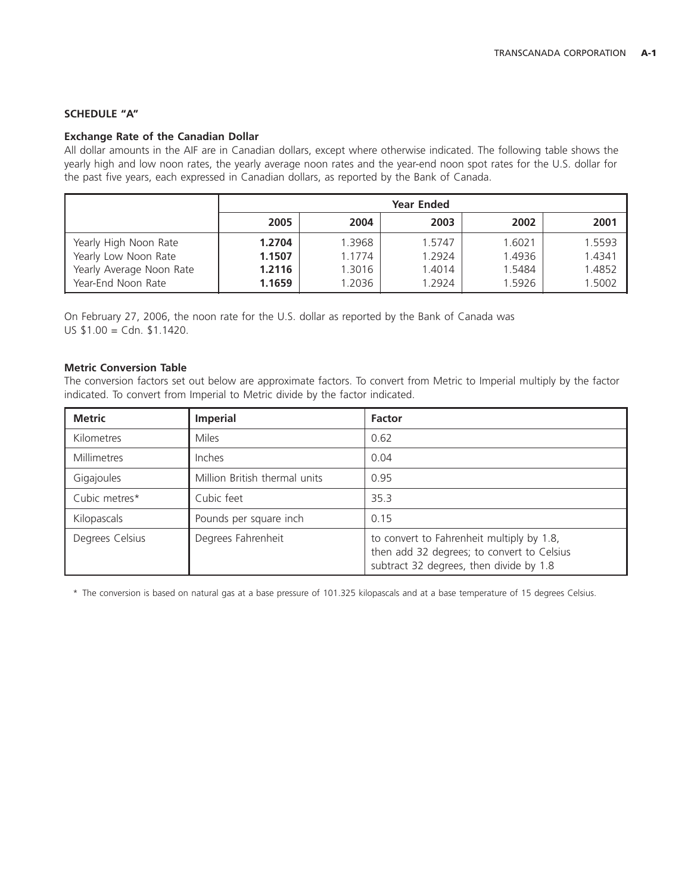# **SCHEDULE ''A''**

# **Exchange Rate of the Canadian Dollar**

All dollar amounts in the AIF are in Canadian dollars, except where otherwise indicated. The following table shows the yearly high and low noon rates, the yearly average noon rates and the year-end noon spot rates for the U.S. dollar for the past five years, each expressed in Canadian dollars, as reported by the Bank of Canada.

|                          | <b>Year Ended</b> |        |        |        |        |
|--------------------------|-------------------|--------|--------|--------|--------|
|                          | 2005              | 2004   | 2003   | 2002   | 2001   |
| Yearly High Noon Rate    | 1.2704            | 1.3968 | 1.5747 | 1.6021 | 1.5593 |
| Yearly Low Noon Rate     | 1.1507            | 1.1774 | 1.2924 | 1.4936 | 1.4341 |
| Yearly Average Noon Rate | 1.2116            | 1.3016 | 1.4014 | 1.5484 | 1.4852 |
| Year-End Noon Rate       | 1.1659            | 1.2036 | 1.2924 | 1.5926 | 1.5002 |

On February 27, 2006, the noon rate for the U.S. dollar as reported by the Bank of Canada was US \$1.00 = Cdn. \$1.1420.

# **Metric Conversion Table**

The conversion factors set out below are approximate factors. To convert from Metric to Imperial multiply by the factor indicated. To convert from Imperial to Metric divide by the factor indicated.

| <b>Metric</b>   | <b>Imperial</b>               | <b>Factor</b>                                                                                                                      |
|-----------------|-------------------------------|------------------------------------------------------------------------------------------------------------------------------------|
| Kilometres      | <b>Miles</b>                  | 0.62                                                                                                                               |
| Millimetres     | Inches                        | 0.04                                                                                                                               |
| Gigajoules      | Million British thermal units | 0.95                                                                                                                               |
| Cubic metres*   | Cubic feet                    | 35.3                                                                                                                               |
| Kilopascals     | Pounds per square inch        | 0.15                                                                                                                               |
| Degrees Celsius | Degrees Fahrenheit            | to convert to Fahrenheit multiply by 1.8,<br>then add 32 degrees; to convert to Celsius<br>subtract 32 degrees, then divide by 1.8 |

\* The conversion is based on natural gas at a base pressure of 101.325 kilopascals and at a base temperature of 15 degrees Celsius.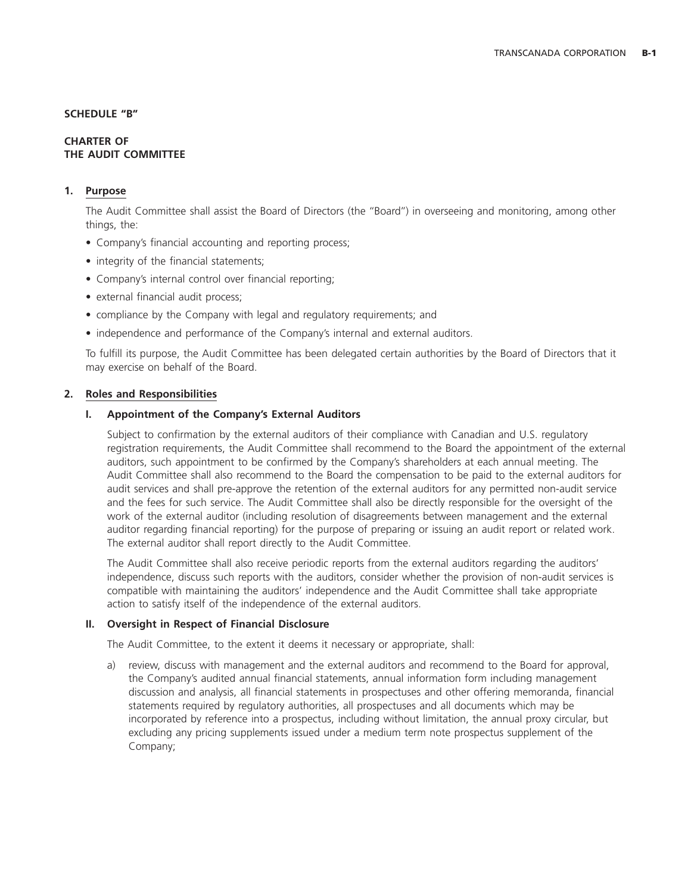#### **SCHEDULE ''B''**

#### **CHARTER OF THE AUDIT COMMITTEE**

# **1. Purpose**

The Audit Committee shall assist the Board of Directors (the ''Board'') in overseeing and monitoring, among other things, the:

- Company's financial accounting and reporting process;
- integrity of the financial statements;
- Company's internal control over financial reporting;
- external financial audit process;
- compliance by the Company with legal and regulatory requirements; and
- independence and performance of the Company's internal and external auditors.

To fulfill its purpose, the Audit Committee has been delegated certain authorities by the Board of Directors that it may exercise on behalf of the Board.

#### **2. Roles and Responsibilities**

# **I. Appointment of the Company's External Auditors**

Subject to confirmation by the external auditors of their compliance with Canadian and U.S. regulatory registration requirements, the Audit Committee shall recommend to the Board the appointment of the external auditors, such appointment to be confirmed by the Company's shareholders at each annual meeting. The Audit Committee shall also recommend to the Board the compensation to be paid to the external auditors for audit services and shall pre-approve the retention of the external auditors for any permitted non-audit service and the fees for such service. The Audit Committee shall also be directly responsible for the oversight of the work of the external auditor (including resolution of disagreements between management and the external auditor regarding financial reporting) for the purpose of preparing or issuing an audit report or related work. The external auditor shall report directly to the Audit Committee.

The Audit Committee shall also receive periodic reports from the external auditors regarding the auditors' independence, discuss such reports with the auditors, consider whether the provision of non-audit services is compatible with maintaining the auditors' independence and the Audit Committee shall take appropriate action to satisfy itself of the independence of the external auditors.

#### **II. Oversight in Respect of Financial Disclosure**

The Audit Committee, to the extent it deems it necessary or appropriate, shall:

a) review, discuss with management and the external auditors and recommend to the Board for approval, the Company's audited annual financial statements, annual information form including management discussion and analysis, all financial statements in prospectuses and other offering memoranda, financial statements required by regulatory authorities, all prospectuses and all documents which may be incorporated by reference into a prospectus, including without limitation, the annual proxy circular, but excluding any pricing supplements issued under a medium term note prospectus supplement of the Company;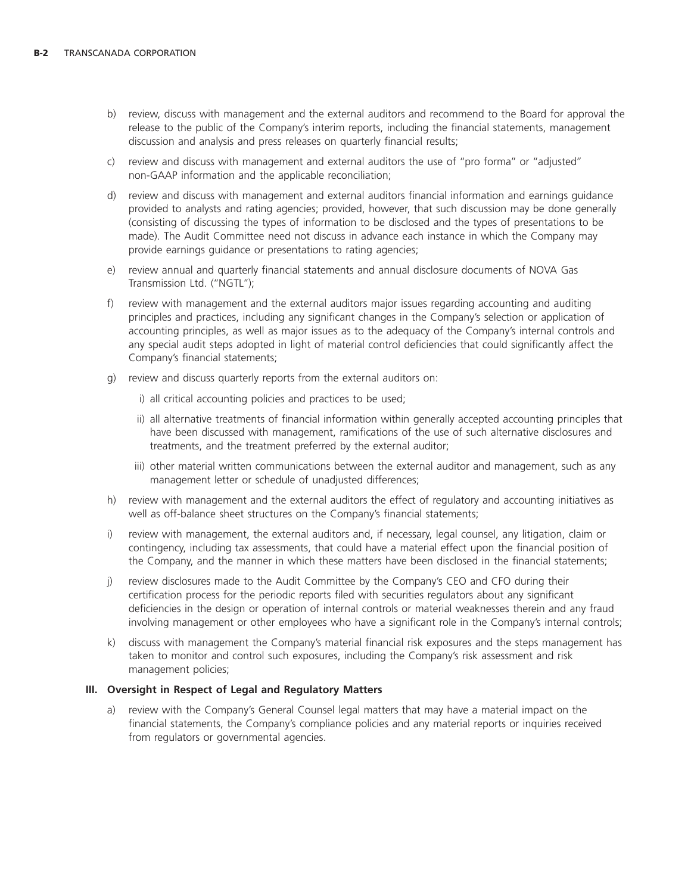- b) review, discuss with management and the external auditors and recommend to the Board for approval the release to the public of the Company's interim reports, including the financial statements, management discussion and analysis and press releases on quarterly financial results;
- c) review and discuss with management and external auditors the use of ''pro forma'' or ''adjusted'' non-GAAP information and the applicable reconciliation;
- d) review and discuss with management and external auditors financial information and earnings guidance provided to analysts and rating agencies; provided, however, that such discussion may be done generally (consisting of discussing the types of information to be disclosed and the types of presentations to be made). The Audit Committee need not discuss in advance each instance in which the Company may provide earnings guidance or presentations to rating agencies;
- e) review annual and quarterly financial statements and annual disclosure documents of NOVA Gas Transmission Ltd. (''NGTL'');
- f) review with management and the external auditors major issues regarding accounting and auditing principles and practices, including any significant changes in the Company's selection or application of accounting principles, as well as major issues as to the adequacy of the Company's internal controls and any special audit steps adopted in light of material control deficiencies that could significantly affect the Company's financial statements;
- g) review and discuss quarterly reports from the external auditors on:
	- i) all critical accounting policies and practices to be used;
	- ii) all alternative treatments of financial information within generally accepted accounting principles that have been discussed with management, ramifications of the use of such alternative disclosures and treatments, and the treatment preferred by the external auditor;
	- iii) other material written communications between the external auditor and management, such as any management letter or schedule of unadjusted differences;
- h) review with management and the external auditors the effect of regulatory and accounting initiatives as well as off-balance sheet structures on the Company's financial statements;
- i) review with management, the external auditors and, if necessary, legal counsel, any litigation, claim or contingency, including tax assessments, that could have a material effect upon the financial position of the Company, and the manner in which these matters have been disclosed in the financial statements;
- j) review disclosures made to the Audit Committee by the Company's CEO and CFO during their certification process for the periodic reports filed with securities regulators about any significant deficiencies in the design or operation of internal controls or material weaknesses therein and any fraud involving management or other employees who have a significant role in the Company's internal controls;
- k) discuss with management the Company's material financial risk exposures and the steps management has taken to monitor and control such exposures, including the Company's risk assessment and risk management policies;

#### **III. Oversight in Respect of Legal and Regulatory Matters**

a) review with the Company's General Counsel legal matters that may have a material impact on the financial statements, the Company's compliance policies and any material reports or inquiries received from regulators or governmental agencies.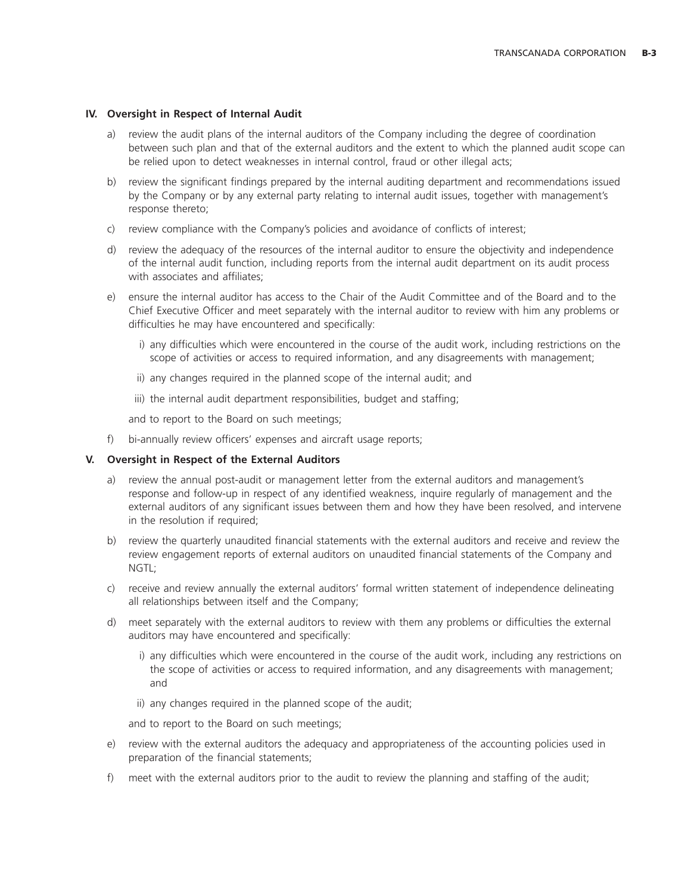# **IV. Oversight in Respect of Internal Audit**

- a) review the audit plans of the internal auditors of the Company including the degree of coordination between such plan and that of the external auditors and the extent to which the planned audit scope can be relied upon to detect weaknesses in internal control, fraud or other illegal acts;
- b) review the significant findings prepared by the internal auditing department and recommendations issued by the Company or by any external party relating to internal audit issues, together with management's response thereto;
- c) review compliance with the Company's policies and avoidance of conflicts of interest;
- d) review the adequacy of the resources of the internal auditor to ensure the objectivity and independence of the internal audit function, including reports from the internal audit department on its audit process with associates and affiliates;
- e) ensure the internal auditor has access to the Chair of the Audit Committee and of the Board and to the Chief Executive Officer and meet separately with the internal auditor to review with him any problems or difficulties he may have encountered and specifically:
	- i) any difficulties which were encountered in the course of the audit work, including restrictions on the scope of activities or access to required information, and any disagreements with management;
	- ii) any changes required in the planned scope of the internal audit; and
	- iii) the internal audit department responsibilities, budget and staffing;

and to report to the Board on such meetings;

f) bi-annually review officers' expenses and aircraft usage reports;

# **V. Oversight in Respect of the External Auditors**

- a) review the annual post-audit or management letter from the external auditors and management's response and follow-up in respect of any identified weakness, inquire regularly of management and the external auditors of any significant issues between them and how they have been resolved, and intervene in the resolution if required;
- b) review the quarterly unaudited financial statements with the external auditors and receive and review the review engagement reports of external auditors on unaudited financial statements of the Company and NGTL;
- c) receive and review annually the external auditors' formal written statement of independence delineating all relationships between itself and the Company;
- d) meet separately with the external auditors to review with them any problems or difficulties the external auditors may have encountered and specifically:
	- i) any difficulties which were encountered in the course of the audit work, including any restrictions on the scope of activities or access to required information, and any disagreements with management; and
	- ii) any changes required in the planned scope of the audit;

and to report to the Board on such meetings;

- e) review with the external auditors the adequacy and appropriateness of the accounting policies used in preparation of the financial statements;
- f) meet with the external auditors prior to the audit to review the planning and staffing of the audit;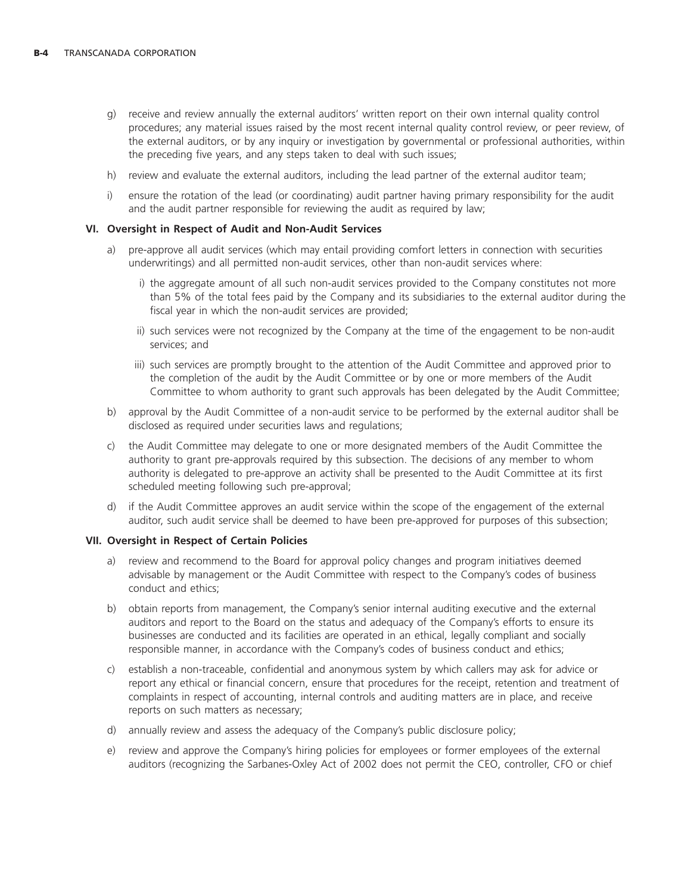- g) receive and review annually the external auditors' written report on their own internal quality control procedures; any material issues raised by the most recent internal quality control review, or peer review, of the external auditors, or by any inquiry or investigation by governmental or professional authorities, within the preceding five years, and any steps taken to deal with such issues;
- h) review and evaluate the external auditors, including the lead partner of the external auditor team;
- i) ensure the rotation of the lead (or coordinating) audit partner having primary responsibility for the audit and the audit partner responsible for reviewing the audit as required by law;

#### **VI. Oversight in Respect of Audit and Non-Audit Services**

- a) pre-approve all audit services (which may entail providing comfort letters in connection with securities underwritings) and all permitted non-audit services, other than non-audit services where:
	- i) the aggregate amount of all such non-audit services provided to the Company constitutes not more than 5% of the total fees paid by the Company and its subsidiaries to the external auditor during the fiscal year in which the non-audit services are provided;
	- ii) such services were not recognized by the Company at the time of the engagement to be non-audit services; and
	- iii) such services are promptly brought to the attention of the Audit Committee and approved prior to the completion of the audit by the Audit Committee or by one or more members of the Audit Committee to whom authority to grant such approvals has been delegated by the Audit Committee;
- b) approval by the Audit Committee of a non-audit service to be performed by the external auditor shall be disclosed as required under securities laws and regulations;
- c) the Audit Committee may delegate to one or more designated members of the Audit Committee the authority to grant pre-approvals required by this subsection. The decisions of any member to whom authority is delegated to pre-approve an activity shall be presented to the Audit Committee at its first scheduled meeting following such pre-approval;
- d) if the Audit Committee approves an audit service within the scope of the engagement of the external auditor, such audit service shall be deemed to have been pre-approved for purposes of this subsection;

#### **VII. Oversight in Respect of Certain Policies**

- a) review and recommend to the Board for approval policy changes and program initiatives deemed advisable by management or the Audit Committee with respect to the Company's codes of business conduct and ethics;
- b) obtain reports from management, the Company's senior internal auditing executive and the external auditors and report to the Board on the status and adequacy of the Company's efforts to ensure its businesses are conducted and its facilities are operated in an ethical, legally compliant and socially responsible manner, in accordance with the Company's codes of business conduct and ethics;
- c) establish a non-traceable, confidential and anonymous system by which callers may ask for advice or report any ethical or financial concern, ensure that procedures for the receipt, retention and treatment of complaints in respect of accounting, internal controls and auditing matters are in place, and receive reports on such matters as necessary;
- d) annually review and assess the adequacy of the Company's public disclosure policy;
- e) review and approve the Company's hiring policies for employees or former employees of the external auditors (recognizing the Sarbanes-Oxley Act of 2002 does not permit the CEO, controller, CFO or chief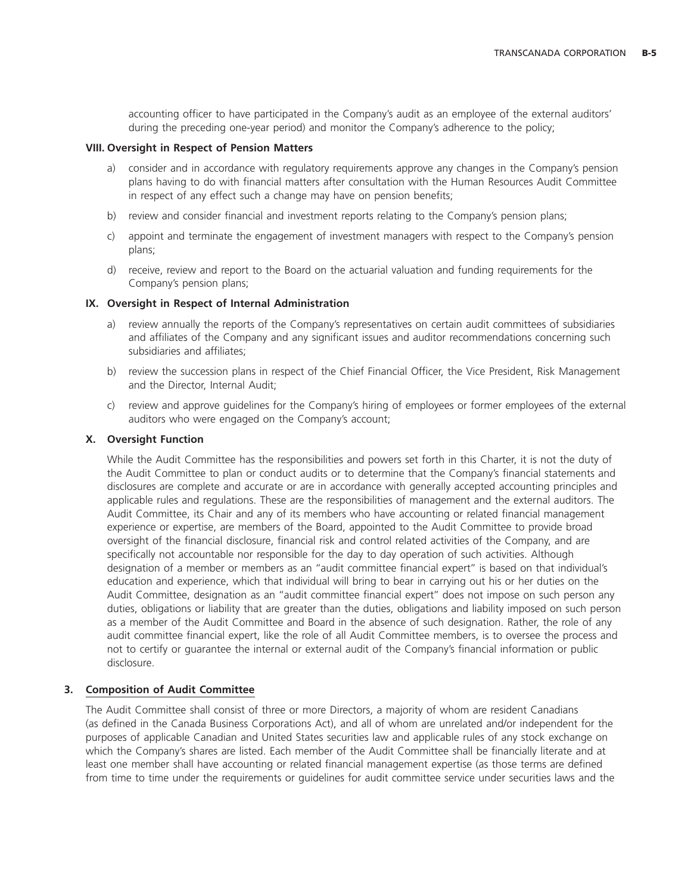accounting officer to have participated in the Company's audit as an employee of the external auditors' during the preceding one-year period) and monitor the Company's adherence to the policy;

### **VIII. Oversight in Respect of Pension Matters**

- a) consider and in accordance with regulatory requirements approve any changes in the Company's pension plans having to do with financial matters after consultation with the Human Resources Audit Committee in respect of any effect such a change may have on pension benefits;
- b) review and consider financial and investment reports relating to the Company's pension plans;
- c) appoint and terminate the engagement of investment managers with respect to the Company's pension plans;
- d) receive, review and report to the Board on the actuarial valuation and funding requirements for the Company's pension plans;

# **IX. Oversight in Respect of Internal Administration**

- a) review annually the reports of the Company's representatives on certain audit committees of subsidiaries and affiliates of the Company and any significant issues and auditor recommendations concerning such subsidiaries and affiliates;
- b) review the succession plans in respect of the Chief Financial Officer, the Vice President, Risk Management and the Director, Internal Audit;
- c) review and approve guidelines for the Company's hiring of employees or former employees of the external auditors who were engaged on the Company's account;

# **X. Oversight Function**

While the Audit Committee has the responsibilities and powers set forth in this Charter, it is not the duty of the Audit Committee to plan or conduct audits or to determine that the Company's financial statements and disclosures are complete and accurate or are in accordance with generally accepted accounting principles and applicable rules and regulations. These are the responsibilities of management and the external auditors. The Audit Committee, its Chair and any of its members who have accounting or related financial management experience or expertise, are members of the Board, appointed to the Audit Committee to provide broad oversight of the financial disclosure, financial risk and control related activities of the Company, and are specifically not accountable nor responsible for the day to day operation of such activities. Although designation of a member or members as an ''audit committee financial expert'' is based on that individual's education and experience, which that individual will bring to bear in carrying out his or her duties on the Audit Committee, designation as an ''audit committee financial expert'' does not impose on such person any duties, obligations or liability that are greater than the duties, obligations and liability imposed on such person as a member of the Audit Committee and Board in the absence of such designation. Rather, the role of any audit committee financial expert, like the role of all Audit Committee members, is to oversee the process and not to certify or guarantee the internal or external audit of the Company's financial information or public disclosure.

# **3. Composition of Audit Committee**

The Audit Committee shall consist of three or more Directors, a majority of whom are resident Canadians (as defined in the Canada Business Corporations Act), and all of whom are unrelated and/or independent for the purposes of applicable Canadian and United States securities law and applicable rules of any stock exchange on which the Company's shares are listed. Each member of the Audit Committee shall be financially literate and at least one member shall have accounting or related financial management expertise (as those terms are defined from time to time under the requirements or guidelines for audit committee service under securities laws and the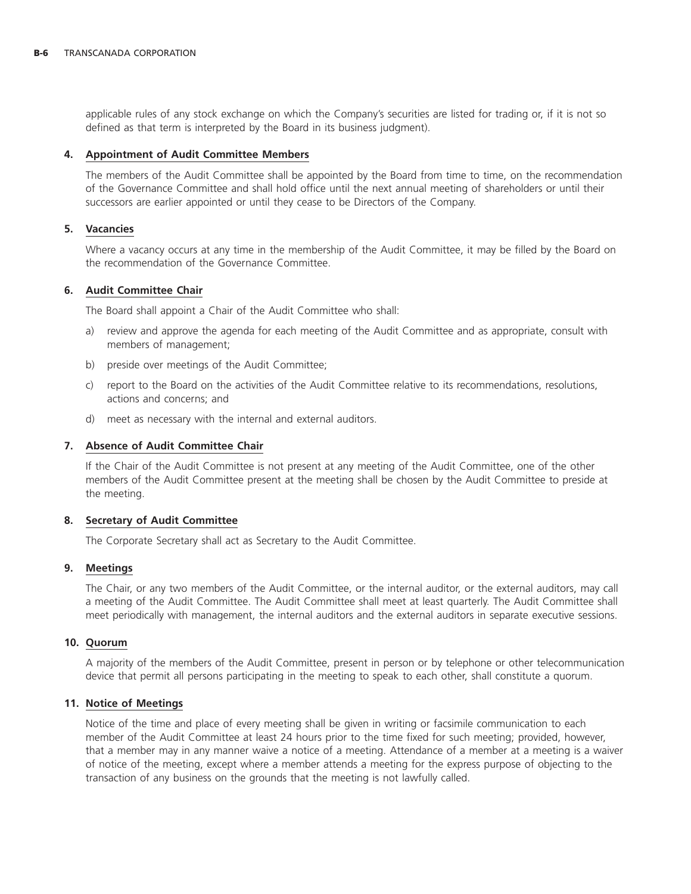applicable rules of any stock exchange on which the Company's securities are listed for trading or, if it is not so defined as that term is interpreted by the Board in its business judgment).

#### **4. Appointment of Audit Committee Members**

The members of the Audit Committee shall be appointed by the Board from time to time, on the recommendation of the Governance Committee and shall hold office until the next annual meeting of shareholders or until their successors are earlier appointed or until they cease to be Directors of the Company.

### **5. Vacancies**

Where a vacancy occurs at any time in the membership of the Audit Committee, it may be filled by the Board on the recommendation of the Governance Committee.

# **6. Audit Committee Chair**

The Board shall appoint a Chair of the Audit Committee who shall:

- a) review and approve the agenda for each meeting of the Audit Committee and as appropriate, consult with members of management;
- b) preside over meetings of the Audit Committee;
- c) report to the Board on the activities of the Audit Committee relative to its recommendations, resolutions, actions and concerns; and
- d) meet as necessary with the internal and external auditors.

### **7. Absence of Audit Committee Chair**

If the Chair of the Audit Committee is not present at any meeting of the Audit Committee, one of the other members of the Audit Committee present at the meeting shall be chosen by the Audit Committee to preside at the meeting.

#### **8. Secretary of Audit Committee**

The Corporate Secretary shall act as Secretary to the Audit Committee.

#### **9. Meetings**

The Chair, or any two members of the Audit Committee, or the internal auditor, or the external auditors, may call a meeting of the Audit Committee. The Audit Committee shall meet at least quarterly. The Audit Committee shall meet periodically with management, the internal auditors and the external auditors in separate executive sessions.

#### **10. Quorum**

A majority of the members of the Audit Committee, present in person or by telephone or other telecommunication device that permit all persons participating in the meeting to speak to each other, shall constitute a quorum.

#### **11. Notice of Meetings**

Notice of the time and place of every meeting shall be given in writing or facsimile communication to each member of the Audit Committee at least 24 hours prior to the time fixed for such meeting; provided, however, that a member may in any manner waive a notice of a meeting. Attendance of a member at a meeting is a waiver of notice of the meeting, except where a member attends a meeting for the express purpose of objecting to the transaction of any business on the grounds that the meeting is not lawfully called.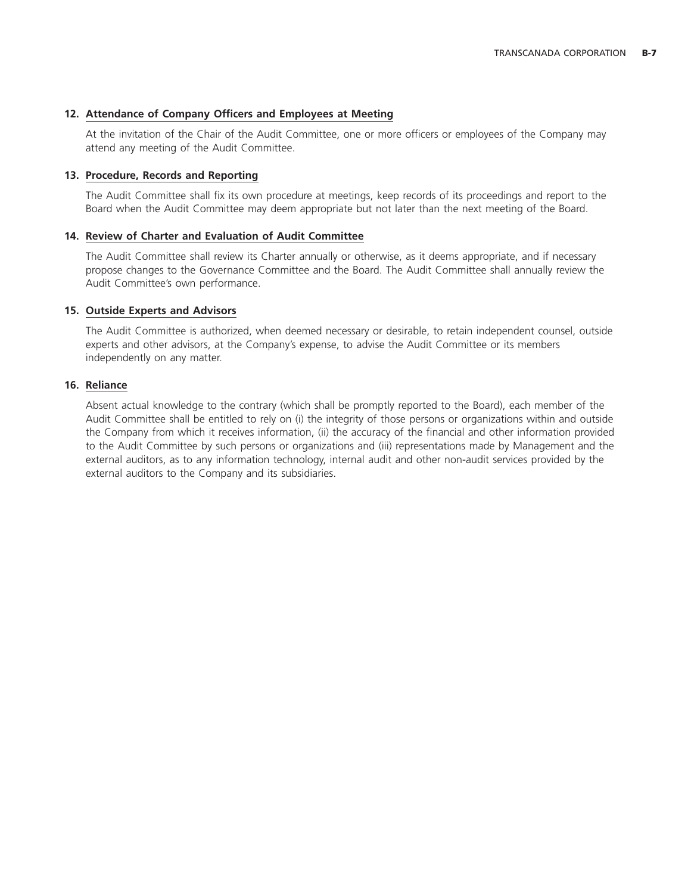# **12. Attendance of Company Officers and Employees at Meeting**

At the invitation of the Chair of the Audit Committee, one or more officers or employees of the Company may attend any meeting of the Audit Committee.

### **13. Procedure, Records and Reporting**

The Audit Committee shall fix its own procedure at meetings, keep records of its proceedings and report to the Board when the Audit Committee may deem appropriate but not later than the next meeting of the Board.

# **14. Review of Charter and Evaluation of Audit Committee**

The Audit Committee shall review its Charter annually or otherwise, as it deems appropriate, and if necessary propose changes to the Governance Committee and the Board. The Audit Committee shall annually review the Audit Committee's own performance.

# **15. Outside Experts and Advisors**

The Audit Committee is authorized, when deemed necessary or desirable, to retain independent counsel, outside experts and other advisors, at the Company's expense, to advise the Audit Committee or its members independently on any matter.

# **16. Reliance**

Absent actual knowledge to the contrary (which shall be promptly reported to the Board), each member of the Audit Committee shall be entitled to rely on (i) the integrity of those persons or organizations within and outside the Company from which it receives information, (ii) the accuracy of the financial and other information provided to the Audit Committee by such persons or organizations and (iii) representations made by Management and the external auditors, as to any information technology, internal audit and other non-audit services provided by the external auditors to the Company and its subsidiaries.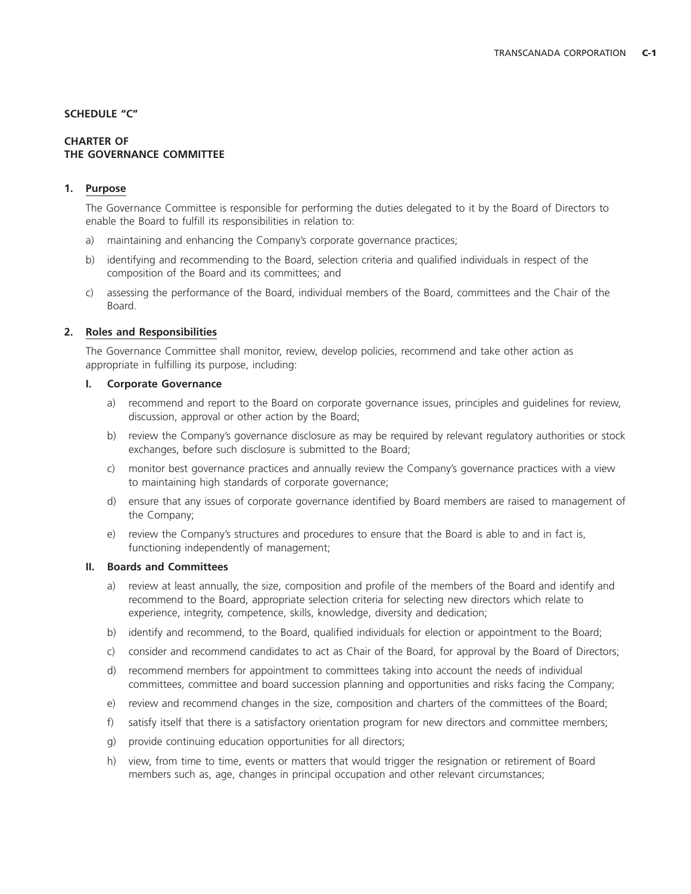# **SCHEDULE ''C''**

# **CHARTER OF THE GOVERNANCE COMMITTEE**

# **1. Purpose**

The Governance Committee is responsible for performing the duties delegated to it by the Board of Directors to enable the Board to fulfill its responsibilities in relation to:

- a) maintaining and enhancing the Company's corporate governance practices;
- b) identifying and recommending to the Board, selection criteria and qualified individuals in respect of the composition of the Board and its committees; and
- c) assessing the performance of the Board, individual members of the Board, committees and the Chair of the Board.

# **2. Roles and Responsibilities**

The Governance Committee shall monitor, review, develop policies, recommend and take other action as appropriate in fulfilling its purpose, including:

#### **I. Corporate Governance**

- a) recommend and report to the Board on corporate governance issues, principles and guidelines for review, discussion, approval or other action by the Board;
- b) review the Company's governance disclosure as may be required by relevant regulatory authorities or stock exchanges, before such disclosure is submitted to the Board;
- c) monitor best governance practices and annually review the Company's governance practices with a view to maintaining high standards of corporate governance;
- d) ensure that any issues of corporate governance identified by Board members are raised to management of the Company;
- e) review the Company's structures and procedures to ensure that the Board is able to and in fact is, functioning independently of management;

# **II. Boards and Committees**

- a) review at least annually, the size, composition and profile of the members of the Board and identify and recommend to the Board, appropriate selection criteria for selecting new directors which relate to experience, integrity, competence, skills, knowledge, diversity and dedication;
- b) identify and recommend, to the Board, qualified individuals for election or appointment to the Board;
- c) consider and recommend candidates to act as Chair of the Board, for approval by the Board of Directors;
- d) recommend members for appointment to committees taking into account the needs of individual committees, committee and board succession planning and opportunities and risks facing the Company;
- e) review and recommend changes in the size, composition and charters of the committees of the Board;
- f) satisfy itself that there is a satisfactory orientation program for new directors and committee members;
- g) provide continuing education opportunities for all directors;
- h) view, from time to time, events or matters that would trigger the resignation or retirement of Board members such as, age, changes in principal occupation and other relevant circumstances;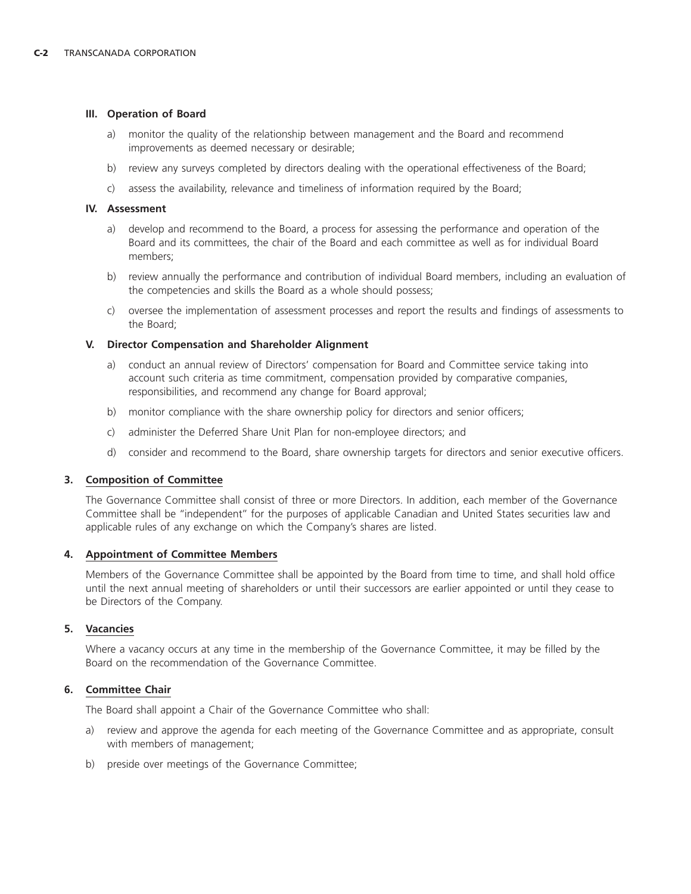# **III. Operation of Board**

- a) monitor the quality of the relationship between management and the Board and recommend improvements as deemed necessary or desirable;
- b) review any surveys completed by directors dealing with the operational effectiveness of the Board;
- c) assess the availability, relevance and timeliness of information required by the Board;

# **IV. Assessment**

- a) develop and recommend to the Board, a process for assessing the performance and operation of the Board and its committees, the chair of the Board and each committee as well as for individual Board members;
- b) review annually the performance and contribution of individual Board members, including an evaluation of the competencies and skills the Board as a whole should possess;
- c) oversee the implementation of assessment processes and report the results and findings of assessments to the Board;

# **V. Director Compensation and Shareholder Alignment**

- a) conduct an annual review of Directors' compensation for Board and Committee service taking into account such criteria as time commitment, compensation provided by comparative companies, responsibilities, and recommend any change for Board approval;
- b) monitor compliance with the share ownership policy for directors and senior officers;
- c) administer the Deferred Share Unit Plan for non-employee directors; and
- d) consider and recommend to the Board, share ownership targets for directors and senior executive officers.

# **3. Composition of Committee**

The Governance Committee shall consist of three or more Directors. In addition, each member of the Governance Committee shall be ''independent'' for the purposes of applicable Canadian and United States securities law and applicable rules of any exchange on which the Company's shares are listed.

#### **4. Appointment of Committee Members**

Members of the Governance Committee shall be appointed by the Board from time to time, and shall hold office until the next annual meeting of shareholders or until their successors are earlier appointed or until they cease to be Directors of the Company.

# **5. Vacancies**

Where a vacancy occurs at any time in the membership of the Governance Committee, it may be filled by the Board on the recommendation of the Governance Committee.

# **6. Committee Chair**

The Board shall appoint a Chair of the Governance Committee who shall:

- a) review and approve the agenda for each meeting of the Governance Committee and as appropriate, consult with members of management;
- b) preside over meetings of the Governance Committee;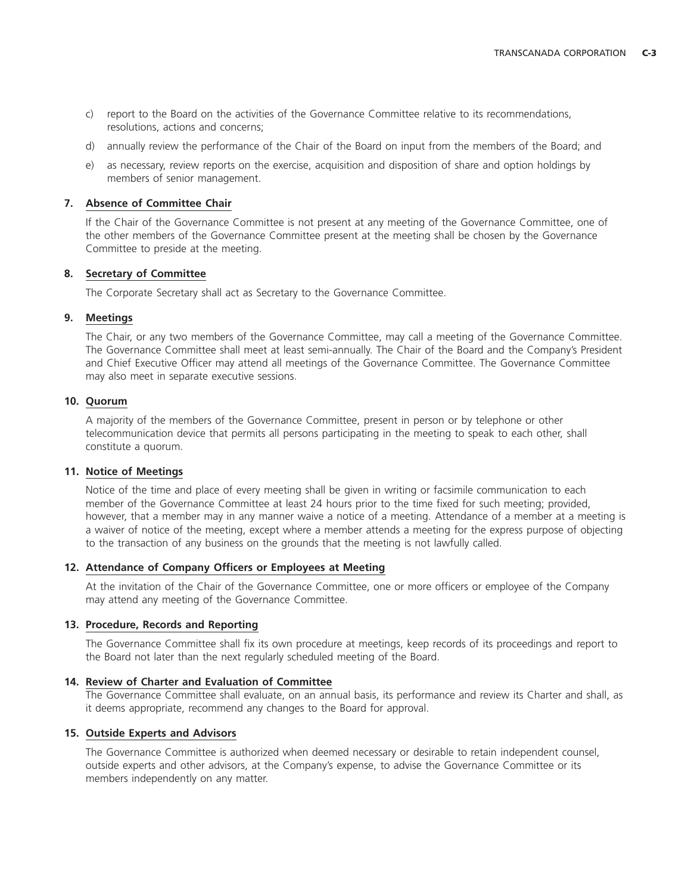- c) report to the Board on the activities of the Governance Committee relative to its recommendations, resolutions, actions and concerns;
- d) annually review the performance of the Chair of the Board on input from the members of the Board; and
- e) as necessary, review reports on the exercise, acquisition and disposition of share and option holdings by members of senior management.

# **7. Absence of Committee Chair**

If the Chair of the Governance Committee is not present at any meeting of the Governance Committee, one of the other members of the Governance Committee present at the meeting shall be chosen by the Governance Committee to preside at the meeting.

# **8. Secretary of Committee**

The Corporate Secretary shall act as Secretary to the Governance Committee.

# **9. Meetings**

The Chair, or any two members of the Governance Committee, may call a meeting of the Governance Committee. The Governance Committee shall meet at least semi-annually. The Chair of the Board and the Company's President and Chief Executive Officer may attend all meetings of the Governance Committee. The Governance Committee may also meet in separate executive sessions.

# **10. Quorum**

A majority of the members of the Governance Committee, present in person or by telephone or other telecommunication device that permits all persons participating in the meeting to speak to each other, shall constitute a quorum.

# **11. Notice of Meetings**

Notice of the time and place of every meeting shall be given in writing or facsimile communication to each member of the Governance Committee at least 24 hours prior to the time fixed for such meeting; provided, however, that a member may in any manner waive a notice of a meeting. Attendance of a member at a meeting is a waiver of notice of the meeting, except where a member attends a meeting for the express purpose of objecting to the transaction of any business on the grounds that the meeting is not lawfully called.

# **12. Attendance of Company Officers or Employees at Meeting**

At the invitation of the Chair of the Governance Committee, one or more officers or employee of the Company may attend any meeting of the Governance Committee.

#### **13. Procedure, Records and Reporting**

The Governance Committee shall fix its own procedure at meetings, keep records of its proceedings and report to the Board not later than the next regularly scheduled meeting of the Board.

#### **14. Review of Charter and Evaluation of Committee**

The Governance Committee shall evaluate, on an annual basis, its performance and review its Charter and shall, as it deems appropriate, recommend any changes to the Board for approval.

# **15. Outside Experts and Advisors**

The Governance Committee is authorized when deemed necessary or desirable to retain independent counsel, outside experts and other advisors, at the Company's expense, to advise the Governance Committee or its members independently on any matter.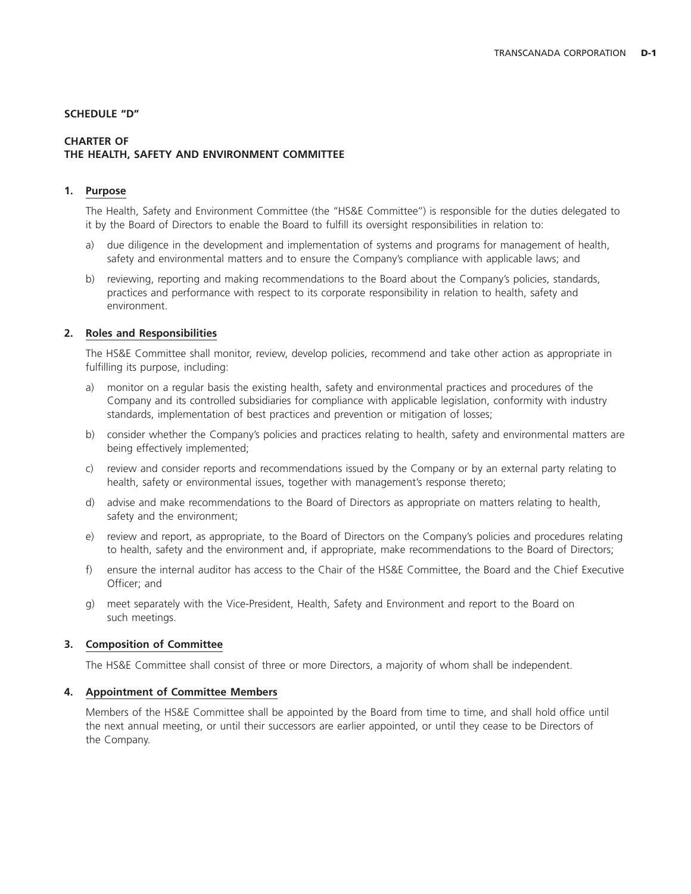#### **SCHEDULE ''D''**

# **CHARTER OF THE HEALTH, SAFETY AND ENVIRONMENT COMMITTEE**

# **1. Purpose**

The Health, Safety and Environment Committee (the ''HS&E Committee'') is responsible for the duties delegated to it by the Board of Directors to enable the Board to fulfill its oversight responsibilities in relation to:

- a) due diligence in the development and implementation of systems and programs for management of health, safety and environmental matters and to ensure the Company's compliance with applicable laws; and
- b) reviewing, reporting and making recommendations to the Board about the Company's policies, standards, practices and performance with respect to its corporate responsibility in relation to health, safety and environment.

#### **2. Roles and Responsibilities**

The HS&E Committee shall monitor, review, develop policies, recommend and take other action as appropriate in fulfilling its purpose, including:

- a) monitor on a regular basis the existing health, safety and environmental practices and procedures of the Company and its controlled subsidiaries for compliance with applicable legislation, conformity with industry standards, implementation of best practices and prevention or mitigation of losses;
- b) consider whether the Company's policies and practices relating to health, safety and environmental matters are being effectively implemented;
- c) review and consider reports and recommendations issued by the Company or by an external party relating to health, safety or environmental issues, together with management's response thereto;
- d) advise and make recommendations to the Board of Directors as appropriate on matters relating to health, safety and the environment;
- e) review and report, as appropriate, to the Board of Directors on the Company's policies and procedures relating to health, safety and the environment and, if appropriate, make recommendations to the Board of Directors;
- f) ensure the internal auditor has access to the Chair of the HS&E Committee, the Board and the Chief Executive Officer; and
- g) meet separately with the Vice-President, Health, Safety and Environment and report to the Board on such meetings.

#### **3. Composition of Committee**

The HS&E Committee shall consist of three or more Directors, a majority of whom shall be independent.

#### **4. Appointment of Committee Members**

Members of the HS&E Committee shall be appointed by the Board from time to time, and shall hold office until the next annual meeting, or until their successors are earlier appointed, or until they cease to be Directors of the Company.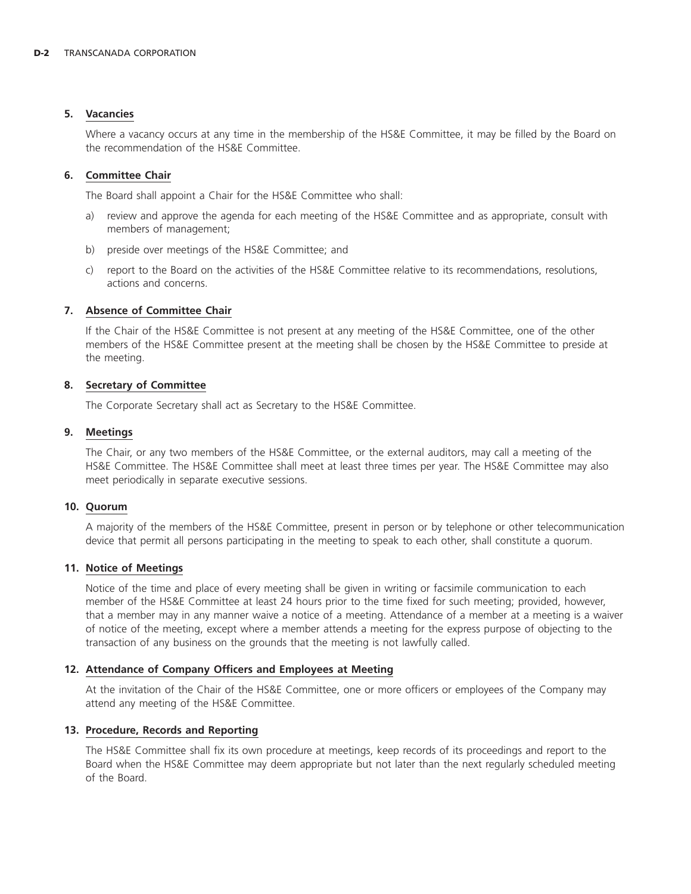# **5. Vacancies**

Where a vacancy occurs at any time in the membership of the HS&E Committee, it may be filled by the Board on the recommendation of the HS&E Committee.

# **6. Committee Chair**

The Board shall appoint a Chair for the HS&E Committee who shall:

- a) review and approve the agenda for each meeting of the HS&E Committee and as appropriate, consult with members of management;
- b) preside over meetings of the HS&E Committee; and
- c) report to the Board on the activities of the HS&E Committee relative to its recommendations, resolutions, actions and concerns.

# **7. Absence of Committee Chair**

If the Chair of the HS&E Committee is not present at any meeting of the HS&E Committee, one of the other members of the HS&E Committee present at the meeting shall be chosen by the HS&E Committee to preside at the meeting.

# **8. Secretary of Committee**

The Corporate Secretary shall act as Secretary to the HS&E Committee.

# **9. Meetings**

The Chair, or any two members of the HS&E Committee, or the external auditors, may call a meeting of the HS&E Committee. The HS&E Committee shall meet at least three times per year. The HS&E Committee may also meet periodically in separate executive sessions.

# **10. Quorum**

A majority of the members of the HS&E Committee, present in person or by telephone or other telecommunication device that permit all persons participating in the meeting to speak to each other, shall constitute a quorum.

# **11. Notice of Meetings**

Notice of the time and place of every meeting shall be given in writing or facsimile communication to each member of the HS&E Committee at least 24 hours prior to the time fixed for such meeting; provided, however, that a member may in any manner waive a notice of a meeting. Attendance of a member at a meeting is a waiver of notice of the meeting, except where a member attends a meeting for the express purpose of objecting to the transaction of any business on the grounds that the meeting is not lawfully called.

# **12. Attendance of Company Officers and Employees at Meeting**

At the invitation of the Chair of the HS&E Committee, one or more officers or employees of the Company may attend any meeting of the HS&E Committee.

# **13. Procedure, Records and Reporting**

The HS&E Committee shall fix its own procedure at meetings, keep records of its proceedings and report to the Board when the HS&E Committee may deem appropriate but not later than the next regularly scheduled meeting of the Board.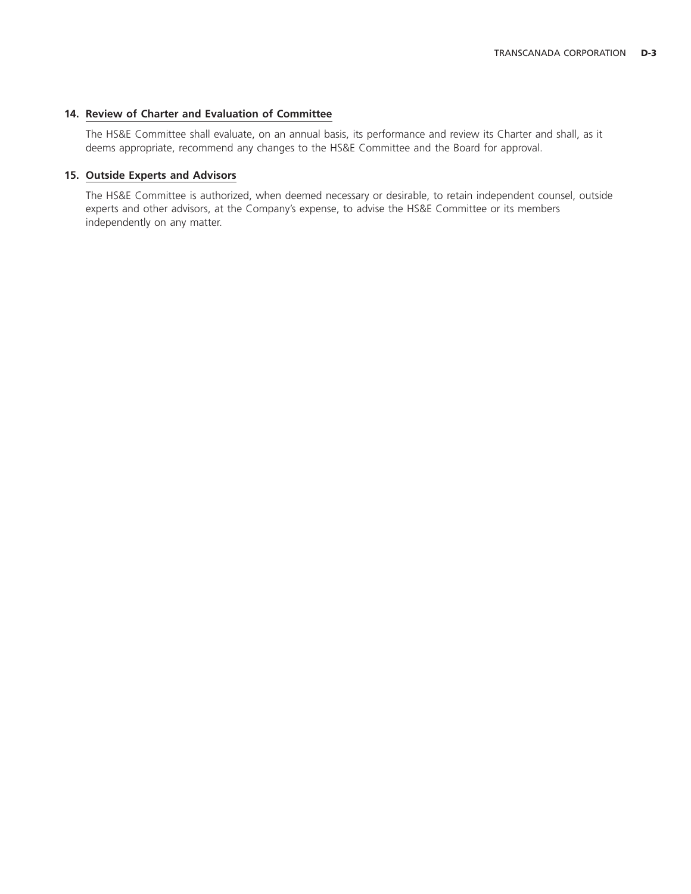# **14. Review of Charter and Evaluation of Committee**

The HS&E Committee shall evaluate, on an annual basis, its performance and review its Charter and shall, as it deems appropriate, recommend any changes to the HS&E Committee and the Board for approval.

# **15. Outside Experts and Advisors**

The HS&E Committee is authorized, when deemed necessary or desirable, to retain independent counsel, outside experts and other advisors, at the Company's expense, to advise the HS&E Committee or its members independently on any matter.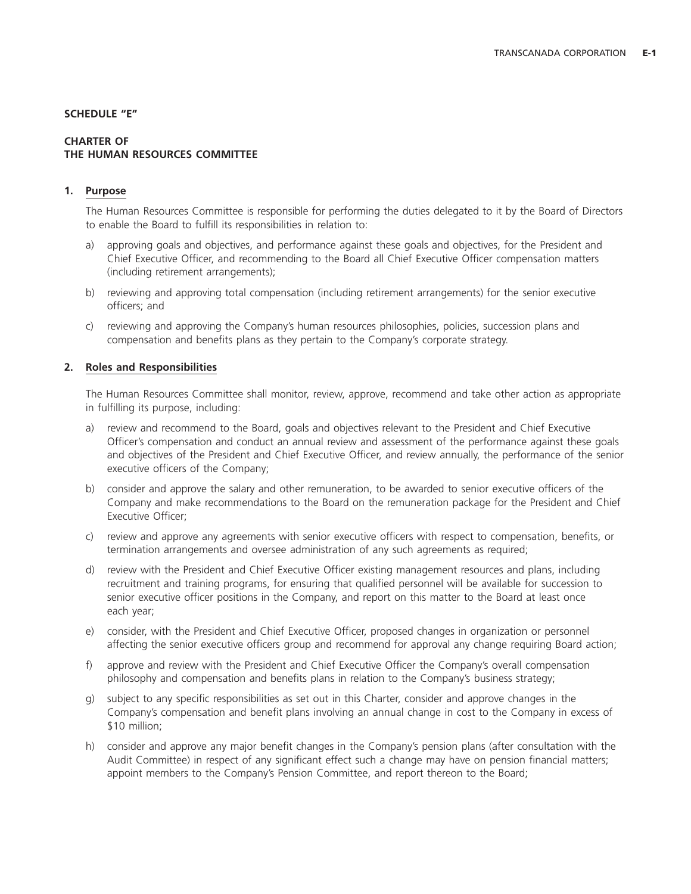### **SCHEDULE ''E''**

# **CHARTER OF THE HUMAN RESOURCES COMMITTEE**

# **1. Purpose**

The Human Resources Committee is responsible for performing the duties delegated to it by the Board of Directors to enable the Board to fulfill its responsibilities in relation to:

- a) approving goals and objectives, and performance against these goals and objectives, for the President and Chief Executive Officer, and recommending to the Board all Chief Executive Officer compensation matters (including retirement arrangements);
- b) reviewing and approving total compensation (including retirement arrangements) for the senior executive officers; and
- c) reviewing and approving the Company's human resources philosophies, policies, succession plans and compensation and benefits plans as they pertain to the Company's corporate strategy.

# **2. Roles and Responsibilities**

The Human Resources Committee shall monitor, review, approve, recommend and take other action as appropriate in fulfilling its purpose, including:

- a) review and recommend to the Board, goals and objectives relevant to the President and Chief Executive Officer's compensation and conduct an annual review and assessment of the performance against these goals and objectives of the President and Chief Executive Officer, and review annually, the performance of the senior executive officers of the Company;
- b) consider and approve the salary and other remuneration, to be awarded to senior executive officers of the Company and make recommendations to the Board on the remuneration package for the President and Chief Executive Officer;
- c) review and approve any agreements with senior executive officers with respect to compensation, benefits, or termination arrangements and oversee administration of any such agreements as required;
- d) review with the President and Chief Executive Officer existing management resources and plans, including recruitment and training programs, for ensuring that qualified personnel will be available for succession to senior executive officer positions in the Company, and report on this matter to the Board at least once each year;
- e) consider, with the President and Chief Executive Officer, proposed changes in organization or personnel affecting the senior executive officers group and recommend for approval any change requiring Board action;
- f) approve and review with the President and Chief Executive Officer the Company's overall compensation philosophy and compensation and benefits plans in relation to the Company's business strategy;
- g) subject to any specific responsibilities as set out in this Charter, consider and approve changes in the Company's compensation and benefit plans involving an annual change in cost to the Company in excess of \$10 million;
- h) consider and approve any major benefit changes in the Company's pension plans (after consultation with the Audit Committee) in respect of any significant effect such a change may have on pension financial matters; appoint members to the Company's Pension Committee, and report thereon to the Board;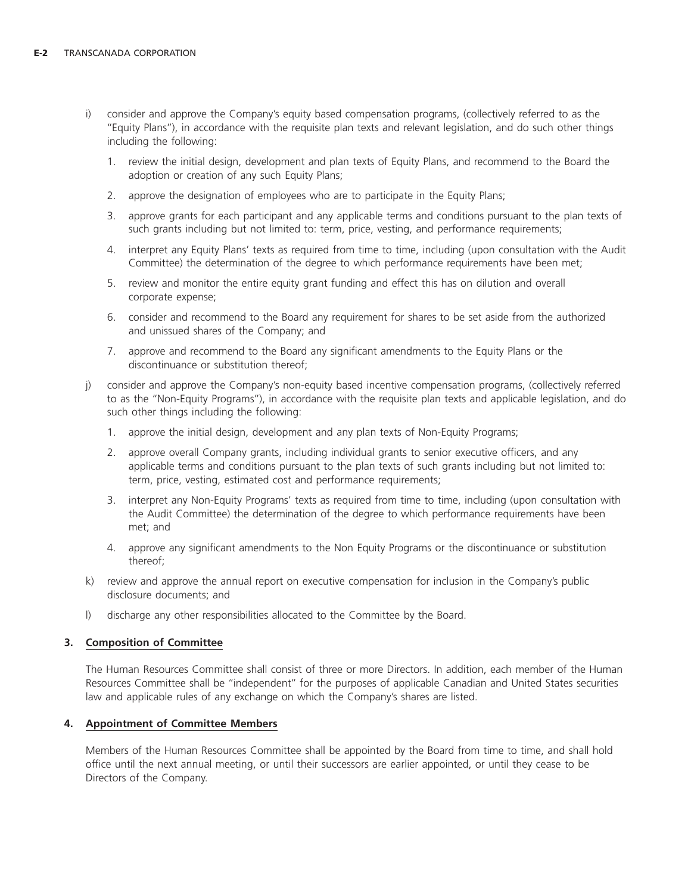- i) consider and approve the Company's equity based compensation programs, (collectively referred to as the ''Equity Plans''), in accordance with the requisite plan texts and relevant legislation, and do such other things including the following:
	- 1. review the initial design, development and plan texts of Equity Plans, and recommend to the Board the adoption or creation of any such Equity Plans;
	- 2. approve the designation of employees who are to participate in the Equity Plans;
	- 3. approve grants for each participant and any applicable terms and conditions pursuant to the plan texts of such grants including but not limited to: term, price, vesting, and performance requirements;
	- 4. interpret any Equity Plans' texts as required from time to time, including (upon consultation with the Audit Committee) the determination of the degree to which performance requirements have been met;
	- 5. review and monitor the entire equity grant funding and effect this has on dilution and overall corporate expense;
	- 6. consider and recommend to the Board any requirement for shares to be set aside from the authorized and unissued shares of the Company; and
	- 7. approve and recommend to the Board any significant amendments to the Equity Plans or the discontinuance or substitution thereof;
- j) consider and approve the Company's non-equity based incentive compensation programs, (collectively referred to as the ''Non-Equity Programs''), in accordance with the requisite plan texts and applicable legislation, and do such other things including the following:
	- 1. approve the initial design, development and any plan texts of Non-Equity Programs;
	- 2. approve overall Company grants, including individual grants to senior executive officers, and any applicable terms and conditions pursuant to the plan texts of such grants including but not limited to: term, price, vesting, estimated cost and performance requirements;
	- 3. interpret any Non-Equity Programs' texts as required from time to time, including (upon consultation with the Audit Committee) the determination of the degree to which performance requirements have been met; and
	- 4. approve any significant amendments to the Non Equity Programs or the discontinuance or substitution thereof;
- k) review and approve the annual report on executive compensation for inclusion in the Company's public disclosure documents; and
- l) discharge any other responsibilities allocated to the Committee by the Board.

# **3. Composition of Committee**

The Human Resources Committee shall consist of three or more Directors. In addition, each member of the Human Resources Committee shall be ''independent'' for the purposes of applicable Canadian and United States securities law and applicable rules of any exchange on which the Company's shares are listed.

# **4. Appointment of Committee Members**

Members of the Human Resources Committee shall be appointed by the Board from time to time, and shall hold office until the next annual meeting, or until their successors are earlier appointed, or until they cease to be Directors of the Company.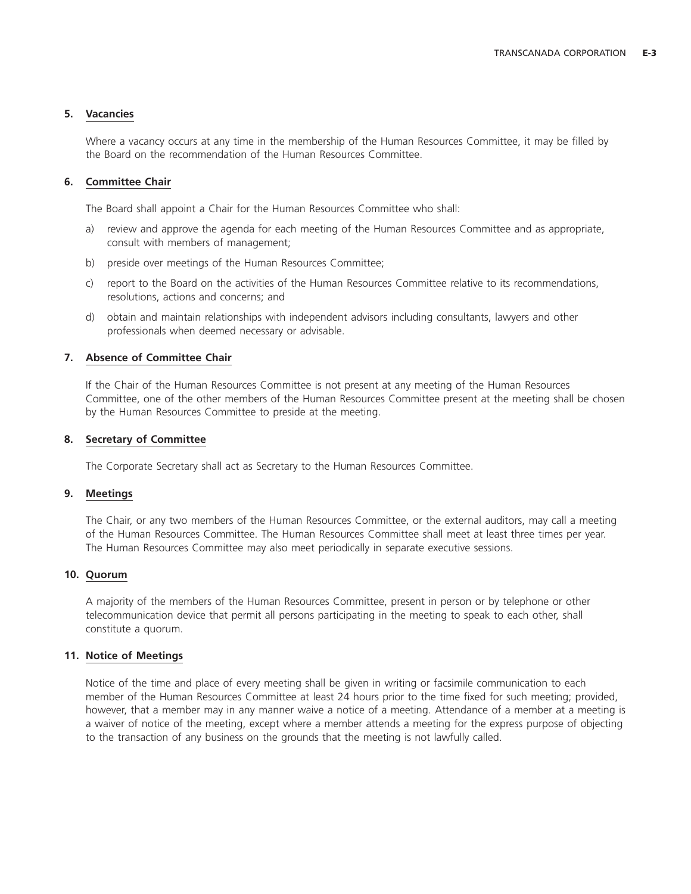# **5. Vacancies**

Where a vacancy occurs at any time in the membership of the Human Resources Committee, it may be filled by the Board on the recommendation of the Human Resources Committee.

# **6. Committee Chair**

The Board shall appoint a Chair for the Human Resources Committee who shall:

- a) review and approve the agenda for each meeting of the Human Resources Committee and as appropriate, consult with members of management;
- b) preside over meetings of the Human Resources Committee;
- c) report to the Board on the activities of the Human Resources Committee relative to its recommendations, resolutions, actions and concerns; and
- d) obtain and maintain relationships with independent advisors including consultants, lawyers and other professionals when deemed necessary or advisable.

# **7. Absence of Committee Chair**

If the Chair of the Human Resources Committee is not present at any meeting of the Human Resources Committee, one of the other members of the Human Resources Committee present at the meeting shall be chosen by the Human Resources Committee to preside at the meeting.

# **8. Secretary of Committee**

The Corporate Secretary shall act as Secretary to the Human Resources Committee.

# **9. Meetings**

The Chair, or any two members of the Human Resources Committee, or the external auditors, may call a meeting of the Human Resources Committee. The Human Resources Committee shall meet at least three times per year. The Human Resources Committee may also meet periodically in separate executive sessions.

# **10. Quorum**

A majority of the members of the Human Resources Committee, present in person or by telephone or other telecommunication device that permit all persons participating in the meeting to speak to each other, shall constitute a quorum.

# **11. Notice of Meetings**

Notice of the time and place of every meeting shall be given in writing or facsimile communication to each member of the Human Resources Committee at least 24 hours prior to the time fixed for such meeting; provided, however, that a member may in any manner waive a notice of a meeting. Attendance of a member at a meeting is a waiver of notice of the meeting, except where a member attends a meeting for the express purpose of objecting to the transaction of any business on the grounds that the meeting is not lawfully called.